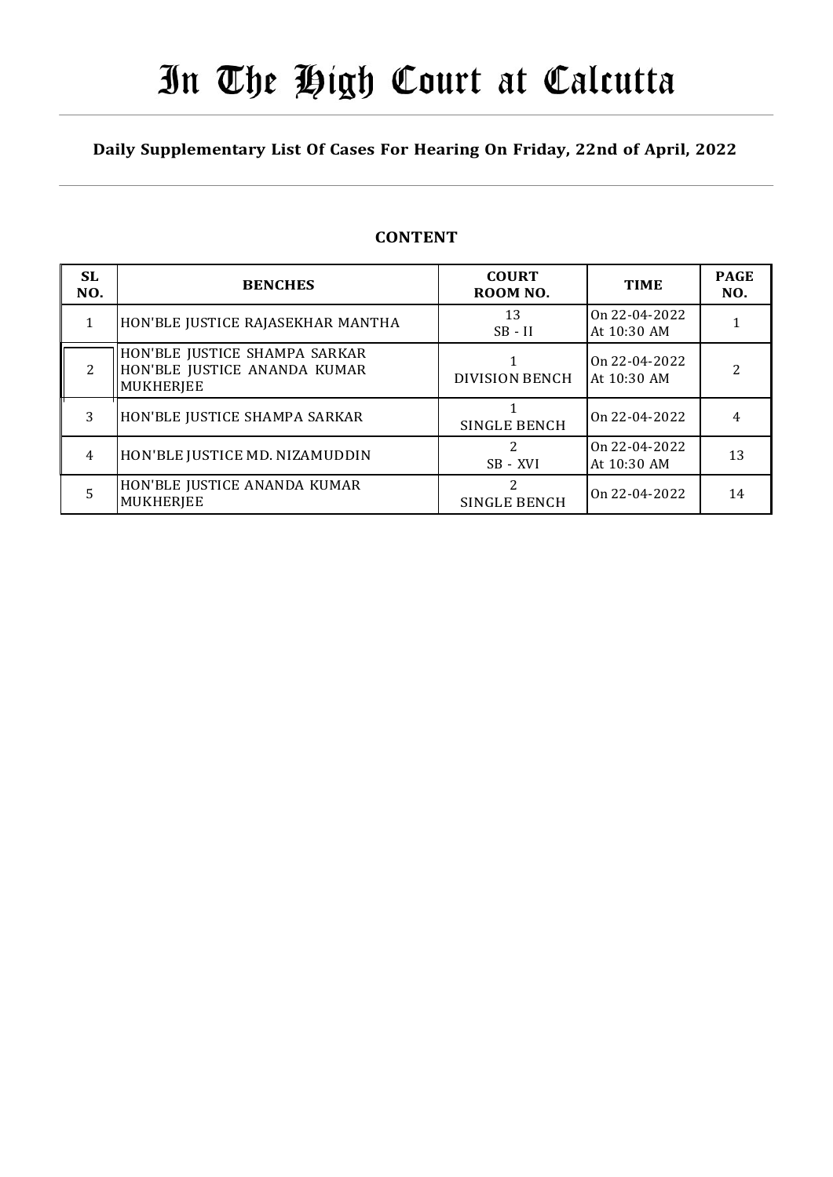# In The High Court at Calcutta

## Daily Supplementary List Of Cases For Hearing On Friday, 22nd of April, 2022

## **CONTENT**

| SL.<br>NO.     | <b>BENCHES</b>                                                                    | <b>COURT</b><br>ROOM NO. | <b>TIME</b>                    | <b>PAGE</b><br>NO. |
|----------------|-----------------------------------------------------------------------------------|--------------------------|--------------------------------|--------------------|
| 1              | HON'BLE JUSTICE RAJASEKHAR MANTHA                                                 | 13<br>$SB - II$          | On $22-04-2022$<br>At 10:30 AM |                    |
| $\overline{2}$ | HON'BLE JUSTICE SHAMPA SARKAR<br>HON'BLE JUSTICE ANANDA KUMAR<br><b>MUKHERJEE</b> | <b>DIVISION BENCH</b>    | On $22-04-2022$<br>At 10:30 AM | 2                  |
| 3              | HON'BLE JUSTICE SHAMPA SARKAR                                                     | <b>SINGLE BENCH</b>      | On $22-04-2022$                |                    |
| 4              | HON'BLE JUSTICE MD. NIZAMUDDIN                                                    | 2<br>SB - XVI            | On $22-04-2022$<br>At 10:30 AM | 13                 |
| 5              | HON'BLE JUSTICE ANANDA KUMAR<br><b>MUKHERJEE</b>                                  | 2<br>SINGLE BENCH        | On $22-04-2022$                | 14                 |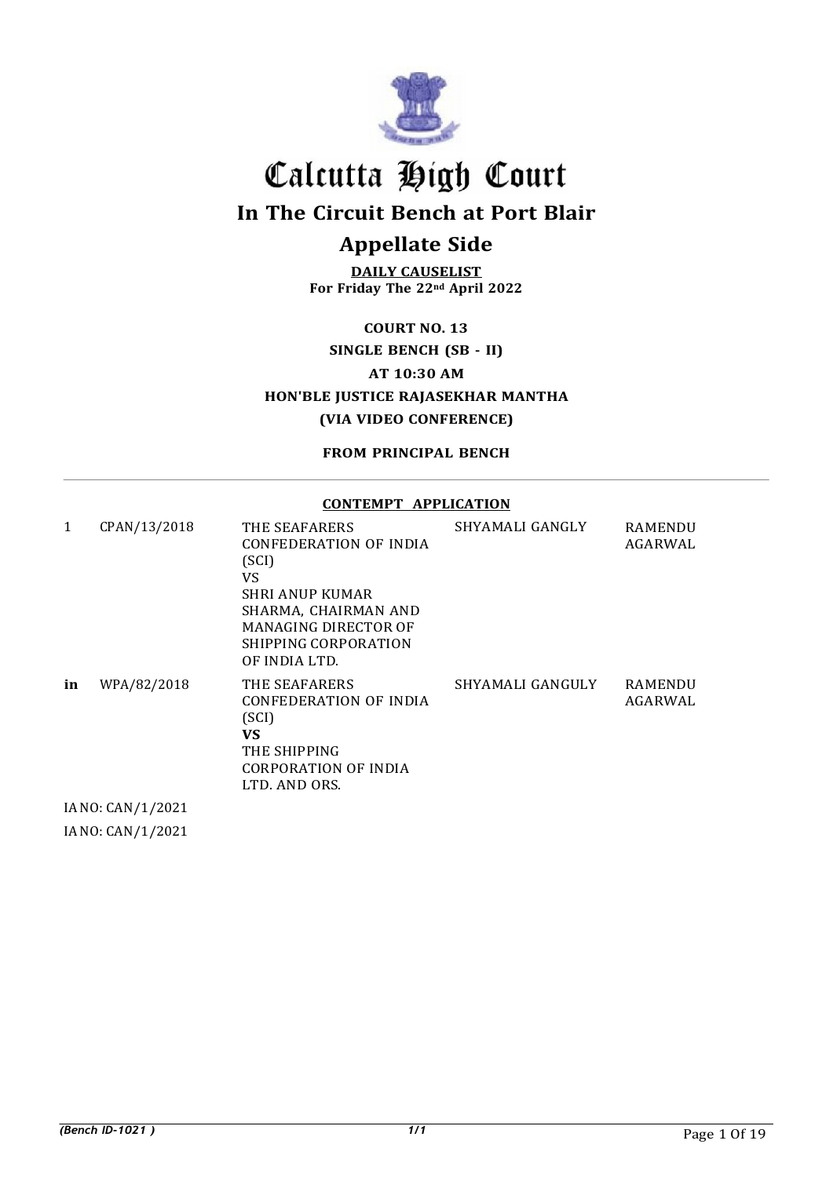

In The Circuit Bench at Port Blair

## Appellate Side

DAILY CAUSELIST For Friday The 22nd April 2022

COURT NO. 13

## SINGLE BENCH (SB - II)

AT 10:30 AM

HON'BLE JUSTICE RAJASEKHAR MANTHA (VIA VIDEO CONFERENCE)

FROM PRINCIPAL BENCH

#### CONTEMPT APPLICATION

| 1  | CPAN/13/2018      | THE SEAFARERS<br>CONFEDERATION OF INDIA<br>(SCI)<br>VS<br>SHRI ANUP KUMAR<br>SHARMA, CHAIRMAN AND<br><b>MANAGING DIRECTOR OF</b><br>SHIPPING CORPORATION<br>OF INDIA LTD. | SHYAMALI GANGLY  | <b>RAMENDU</b><br>AGARWAL |
|----|-------------------|---------------------------------------------------------------------------------------------------------------------------------------------------------------------------|------------------|---------------------------|
| in | WPA/82/2018       | THE SEAFARERS<br>CONFEDERATION OF INDIA<br>(SCI)<br>VS<br>THE SHIPPING<br>CORPORATION OF INDIA<br>LTD. AND ORS.                                                           | SHYAMALI GANGULY | <b>RAMENDU</b><br>AGARWAL |
|    | IA NO: CAN/1/2021 |                                                                                                                                                                           |                  |                           |

IA NO: CAN/1/2021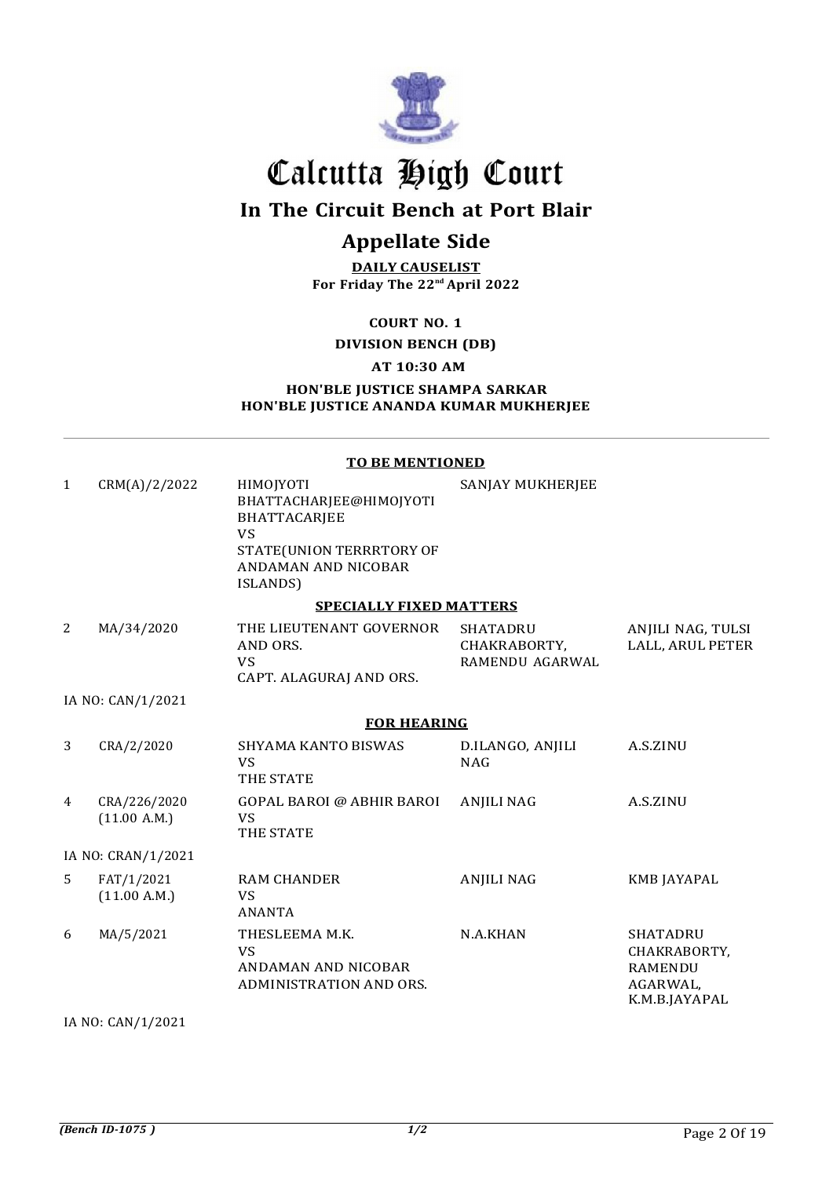

## In The Circuit Bench at Port Blair

## Appellate Side

DAILY CAUSELIST For Friday The 22nd April 2022

COURT NO. 1

#### DIVISION BENCH (DB)

## AT 10:30 AM

HON'BLE JUSTICE SHAMPA SARKAR HON'BLE JUSTICE ANANDA KUMAR MUKHERJEE

#### TO BE MENTIONED

| $\mathbf{1}$ | CRM(A)/2/2022                | HIMOJYOTI<br>BHATTACHARJEE@HIMOJYOTI<br><b>BHATTACARJEE</b><br><b>VS</b><br>STATE(UNION TERRRTORY OF<br>ANDAMAN AND NICOBAR<br>ISLANDS) | SANJAY MUKHERJEE                                   |                                                                                |
|--------------|------------------------------|-----------------------------------------------------------------------------------------------------------------------------------------|----------------------------------------------------|--------------------------------------------------------------------------------|
|              |                              | <b>SPECIALLY FIXED MATTERS</b>                                                                                                          |                                                    |                                                                                |
| 2            | MA/34/2020                   | THE LIEUTENANT GOVERNOR<br>AND ORS.<br><b>VS</b><br>CAPT. ALAGURAJ AND ORS.                                                             | <b>SHATADRU</b><br>CHAKRABORTY,<br>RAMENDU AGARWAL | ANJILI NAG, TULSI<br>LALL, ARUL PETER                                          |
|              | IA NO: CAN/1/2021            |                                                                                                                                         |                                                    |                                                                                |
|              |                              | <b>FOR HEARING</b>                                                                                                                      |                                                    |                                                                                |
| 3            | CRA/2/2020                   | <b>SHYAMA KANTO BISWAS</b><br><b>VS</b><br>THE STATE                                                                                    | D.ILANGO, ANJILI<br><b>NAG</b>                     | A.S.ZINU                                                                       |
| 4            | CRA/226/2020<br>(11.00 A.M.) | <b>GOPAL BAROI @ ABHIR BAROI</b><br><b>VS</b><br>THE STATE                                                                              | <b>ANJILI NAG</b>                                  | A.S.ZINU                                                                       |
|              | IA NO: CRAN/1/2021           |                                                                                                                                         |                                                    |                                                                                |
| 5            | FAT/1/2021<br>(11.00 A.M.)   | <b>RAM CHANDER</b><br><b>VS</b><br><b>ANANTA</b>                                                                                        | <b>ANJILI NAG</b>                                  | <b>KMB JAYAPAL</b>                                                             |
| 6            | MA/5/2021                    | THESLEEMA M.K.<br><b>VS</b><br>ANDAMAN AND NICOBAR<br>ADMINISTRATION AND ORS.                                                           | N.A.KHAN                                           | <b>SHATADRU</b><br>CHAKRABORTY,<br><b>RAMENDU</b><br>AGARWAL,<br>K.M.B.JAYAPAL |

IA NO: CAN/1/2021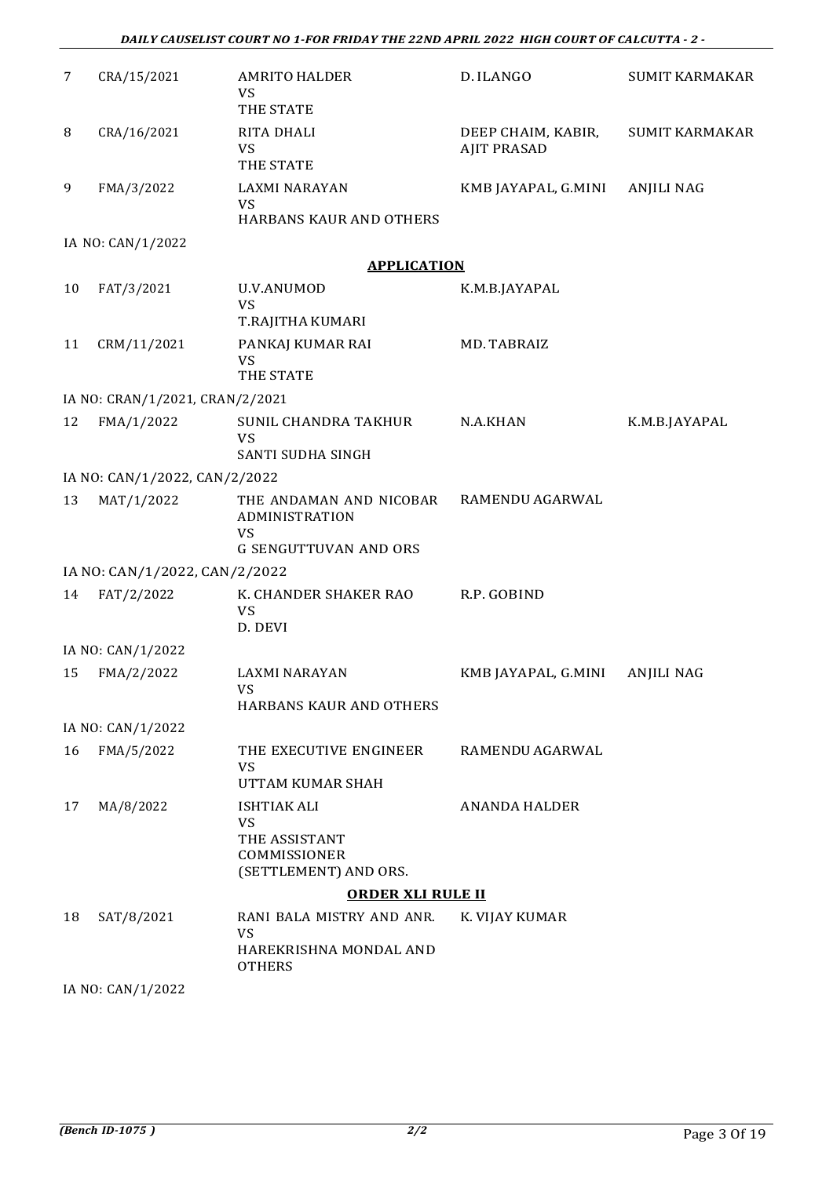| 7  | CRA/15/2021                     | <b>AMRITO HALDER</b><br><b>VS</b><br>THE STATE                                         | D. ILANGO                                | <b>SUMIT KARMAKAR</b> |
|----|---------------------------------|----------------------------------------------------------------------------------------|------------------------------------------|-----------------------|
| 8  | CRA/16/2021                     | RITA DHALI<br>VS<br>THE STATE                                                          | DEEP CHAIM, KABIR,<br><b>AJIT PRASAD</b> | <b>SUMIT KARMAKAR</b> |
| 9  | FMA/3/2022                      | LAXMI NARAYAN<br>VS<br><b>HARBANS KAUR AND OTHERS</b>                                  | KMB JAYAPAL, G.MINI                      | ANJILI NAG            |
|    | IA NO: CAN/1/2022               |                                                                                        |                                          |                       |
|    |                                 | <b>APPLICATION</b>                                                                     |                                          |                       |
| 10 | FAT/3/2021                      | U.V.ANUMOD<br>VS<br>T.RAJITHA KUMARI                                                   | K.M.B.JAYAPAL                            |                       |
| 11 | CRM/11/2021                     | PANKAJ KUMAR RAI<br>VS<br>THE STATE                                                    | MD. TABRAIZ                              |                       |
|    | IA NO: CRAN/1/2021, CRAN/2/2021 |                                                                                        |                                          |                       |
| 12 | FMA/1/2022                      | SUNIL CHANDRA TAKHUR<br><b>VS</b><br>SANTI SUDHA SINGH                                 | N.A.KHAN                                 | K.M.B.JAYAPAL         |
|    | IA NO: CAN/1/2022, CAN/2/2022   |                                                                                        |                                          |                       |
| 13 | MAT/1/2022                      | THE ANDAMAN AND NICOBAR<br>ADMINISTRATION<br><b>VS</b><br><b>G SENGUTTUVAN AND ORS</b> | RAMENDU AGARWAL                          |                       |
|    | IA NO: CAN/1/2022, CAN/2/2022   |                                                                                        |                                          |                       |
| 14 | FAT/2/2022                      | K. CHANDER SHAKER RAO<br>VS<br>D. DEVI                                                 | R.P. GOBIND                              |                       |
|    | IA NO: CAN/1/2022               |                                                                                        |                                          |                       |
| 15 | FMA/2/2022                      | LAXMI NARAYAN<br>VS<br><b>HARBANS KAUR AND OTHERS</b>                                  | KMB JAYAPAL, G.MINI                      | <b>ANJILI NAG</b>     |
|    | IA NO: CAN/1/2022               |                                                                                        |                                          |                       |
| 16 | FMA/5/2022                      | THE EXECUTIVE ENGINEER<br><b>VS</b><br>UTTAM KUMAR SHAH                                | RAMENDU AGARWAL                          |                       |
| 17 | MA/8/2022                       | ISHTIAK ALI<br><b>VS</b><br>THE ASSISTANT<br>COMMISSIONER<br>(SETTLEMENT) AND ORS.     | <b>ANANDA HALDER</b>                     |                       |
|    |                                 | <b>ORDER XLI RULE II</b>                                                               |                                          |                       |
| 18 | SAT/8/2021                      | RANI BALA MISTRY AND ANR.<br>VS<br>HAREKRISHNA MONDAL AND<br><b>OTHERS</b>             | K. VIJAY KUMAR                           |                       |
|    |                                 |                                                                                        |                                          |                       |

IA NO: CAN/1/2022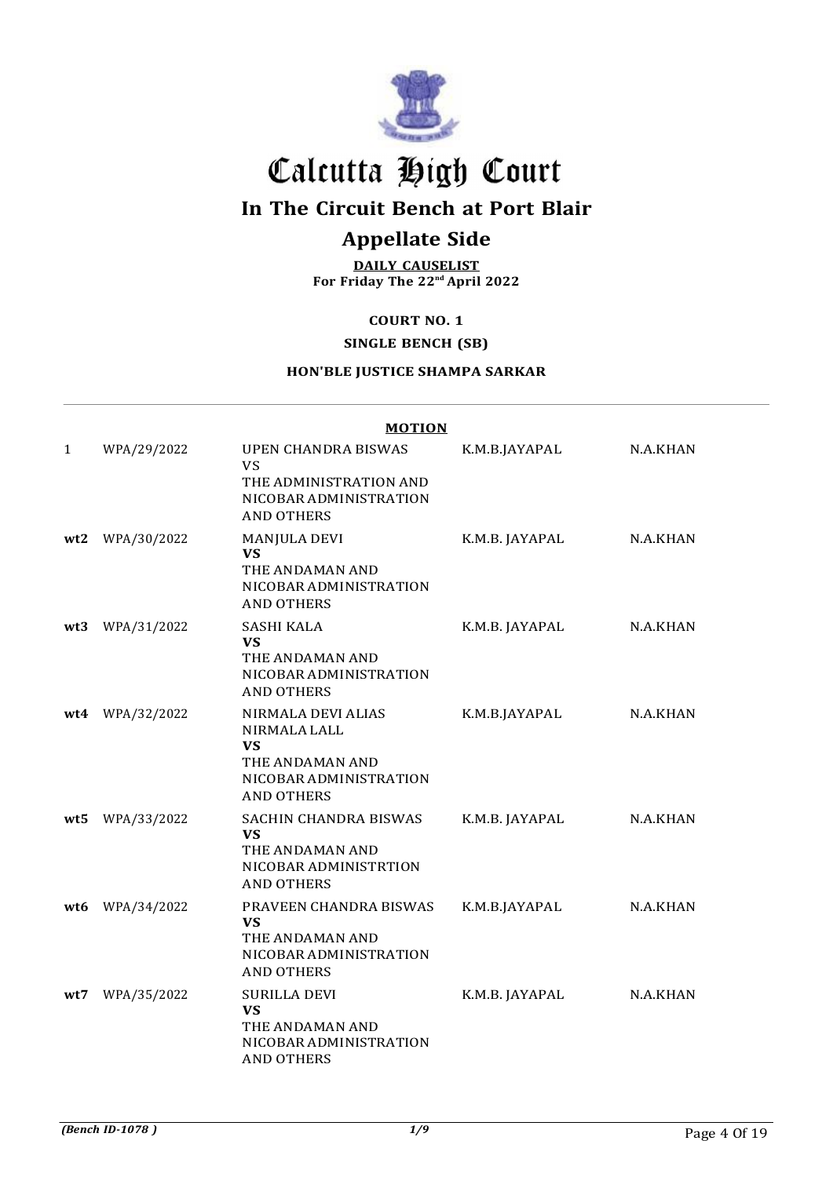

## In The Circuit Bench at Port Blair

## Appellate Side

DAILY CAUSELIST For Friday The 22nd April 2022

### COURT NO. 1

#### SINGLE BENCH (SB)

## HON'BLE JUSTICE SHAMPA SARKAR

|              |             | <b>MOTION</b>                                                                                                     |                |          |
|--------------|-------------|-------------------------------------------------------------------------------------------------------------------|----------------|----------|
| $\mathbf{1}$ | WPA/29/2022 | <b>UPEN CHANDRA BISWAS</b><br><b>VS</b><br>THE ADMINISTRATION AND<br>NICOBAR ADMINISTRATION<br><b>AND OTHERS</b>  | K.M.B.JAYAPAL  | N.A.KHAN |
| wt2          | WPA/30/2022 | MANJULA DEVI<br><b>VS</b><br>THE ANDAMAN AND<br>NICOBAR ADMINISTRATION<br><b>AND OTHERS</b>                       | K.M.B. JAYAPAL | N.A.KHAN |
| wt3          | WPA/31/2022 | SASHI KALA<br>VS.<br>THE ANDAMAN AND<br>NICOBAR ADMINISTRATION<br><b>AND OTHERS</b>                               | K.M.B. JAYAPAL | N.A.KHAN |
| wt4          | WPA/32/2022 | NIRMALA DEVI ALIAS<br>NIRMALA LALL<br><b>VS</b><br>THE ANDAMAN AND<br>NICOBAR ADMINISTRATION<br><b>AND OTHERS</b> | K.M.B.JAYAPAL  | N.A.KHAN |
| wt5          | WPA/33/2022 | SACHIN CHANDRA BISWAS<br><b>VS</b><br>THE ANDAMAN AND<br>NICOBAR ADMINISTRTION<br><b>AND OTHERS</b>               | K.M.B. JAYAPAL | N.A.KHAN |
| wt6          | WPA/34/2022 | PRAVEEN CHANDRA BISWAS<br><b>VS</b><br>THE ANDAMAN AND<br>NICOBAR ADMINISTRATION<br><b>AND OTHERS</b>             | K.M.B.JAYAPAL  | N.A.KHAN |
| wt7          | WPA/35/2022 | <b>SURILLA DEVI</b><br><b>VS</b><br>THE ANDAMAN AND<br>NICOBAR ADMINISTRATION<br><b>AND OTHERS</b>                | K.M.B. JAYAPAL | N.A.KHAN |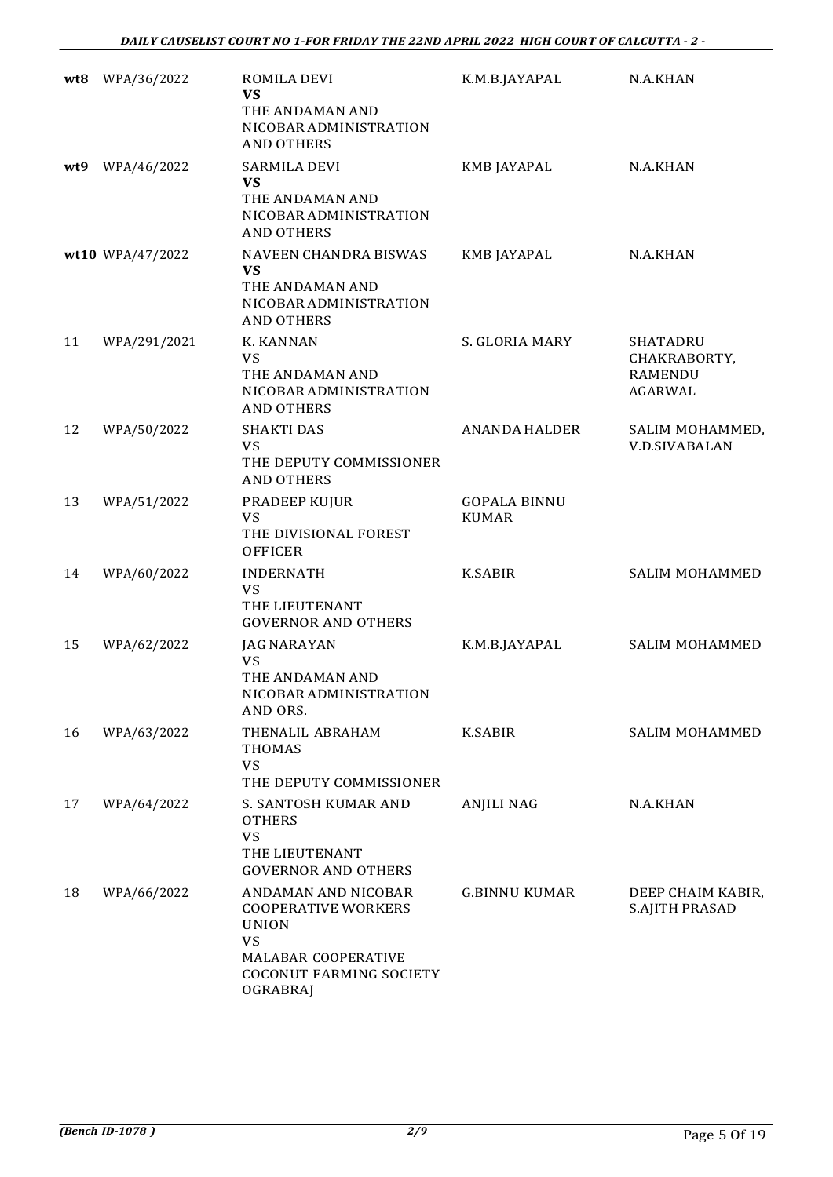| wt8 | WPA/36/2022      | ROMILA DEVI<br><b>VS</b><br>THE ANDAMAN AND<br>NICOBAR ADMINISTRATION<br><b>AND OTHERS</b>                                                          | K.M.B.JAYAPAL                       | N.A.KHAN                                              |
|-----|------------------|-----------------------------------------------------------------------------------------------------------------------------------------------------|-------------------------------------|-------------------------------------------------------|
| wt9 | WPA/46/2022      | <b>SARMILA DEVI</b><br>VS<br>THE ANDAMAN AND<br>NICOBAR ADMINISTRATION<br><b>AND OTHERS</b>                                                         | KMB JAYAPAL                         | N.A.KHAN                                              |
|     | wt10 WPA/47/2022 | NAVEEN CHANDRA BISWAS<br><b>VS</b><br>THE ANDAMAN AND<br>NICOBAR ADMINISTRATION<br><b>AND OTHERS</b>                                                | KMB JAYAPAL                         | N.A.KHAN                                              |
| 11  | WPA/291/2021     | K. KANNAN<br><b>VS</b><br>THE ANDAMAN AND<br>NICOBAR ADMINISTRATION<br><b>AND OTHERS</b>                                                            | S. GLORIA MARY                      | SHATADRU<br>CHAKRABORTY,<br><b>RAMENDU</b><br>AGARWAL |
| 12  | WPA/50/2022      | <b>SHAKTI DAS</b><br><b>VS</b><br>THE DEPUTY COMMISSIONER<br><b>AND OTHERS</b>                                                                      | <b>ANANDA HALDER</b>                | SALIM MOHAMMED,<br><b>V.D.SIVABALAN</b>               |
| 13  | WPA/51/2022      | PRADEEP KUJUR<br><b>VS</b><br>THE DIVISIONAL FOREST<br><b>OFFICER</b>                                                                               | <b>GOPALA BINNU</b><br><b>KUMAR</b> |                                                       |
| 14  | WPA/60/2022      | <b>INDERNATH</b><br><b>VS</b><br>THE LIEUTENANT<br><b>GOVERNOR AND OTHERS</b>                                                                       | <b>K.SABIR</b>                      | <b>SALIM MOHAMMED</b>                                 |
| 15  | WPA/62/2022      | JAG NARAYAN<br><b>VS</b><br>THE ANDAMAN AND<br>NICOBAR ADMINISTRATION<br>AND ORS.                                                                   | K.M.B.JAYAPAL                       | <b>SALIM MOHAMMED</b>                                 |
| 16  | WPA/63/2022      | THENALIL ABRAHAM<br><b>THOMAS</b><br><b>VS</b><br>THE DEPUTY COMMISSIONER                                                                           | <b>K.SABIR</b>                      | <b>SALIM MOHAMMED</b>                                 |
| 17  | WPA/64/2022      | S. SANTOSH KUMAR AND<br><b>OTHERS</b><br>VS<br>THE LIEUTENANT<br><b>GOVERNOR AND OTHERS</b>                                                         | <b>ANJILI NAG</b>                   | N.A.KHAN                                              |
| 18  | WPA/66/2022      | ANDAMAN AND NICOBAR<br><b>COOPERATIVE WORKERS</b><br><b>UNION</b><br><b>VS</b><br>MALABAR COOPERATIVE<br><b>COCONUT FARMING SOCIETY</b><br>OGRABRAJ | <b>G.BINNU KUMAR</b>                | DEEP CHAIM KABIR,<br>S.AJITH PRASAD                   |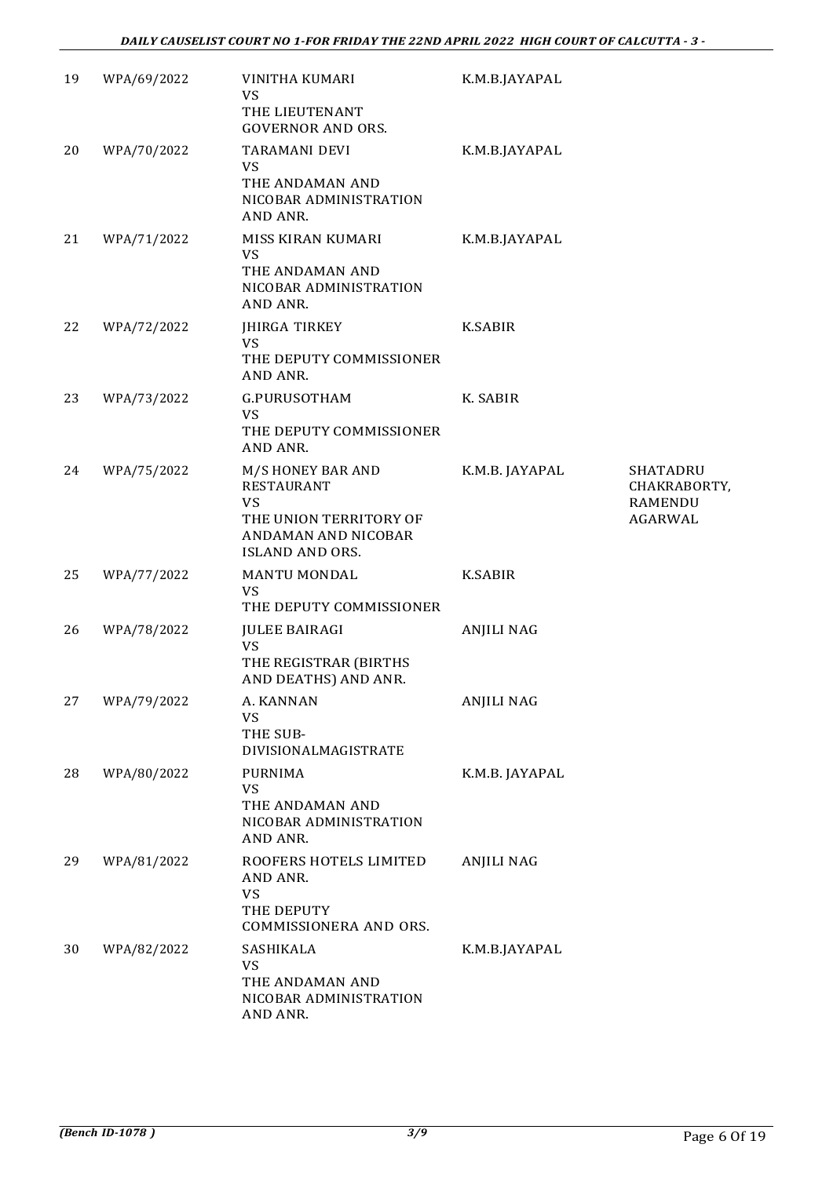| 19 | WPA/69/2022 | VINITHA KUMARI<br>VS<br>THE LIEUTENANT<br><b>GOVERNOR AND ORS.</b>                                                      | K.M.B.JAYAPAL     |                                                              |
|----|-------------|-------------------------------------------------------------------------------------------------------------------------|-------------------|--------------------------------------------------------------|
| 20 | WPA/70/2022 | TARAMANI DEVI<br><b>VS</b><br>THE ANDAMAN AND<br>NICOBAR ADMINISTRATION<br>AND ANR.                                     | K.M.B.JAYAPAL     |                                                              |
| 21 | WPA/71/2022 | MISS KIRAN KUMARI<br>VS<br>THE ANDAMAN AND<br>NICOBAR ADMINISTRATION<br>AND ANR.                                        | K.M.B.JAYAPAL     |                                                              |
| 22 | WPA/72/2022 | JHIRGA TIRKEY<br><b>VS</b><br>THE DEPUTY COMMISSIONER<br>AND ANR.                                                       | <b>K.SABIR</b>    |                                                              |
| 23 | WPA/73/2022 | G.PURUSOTHAM<br>VS<br>THE DEPUTY COMMISSIONER<br>AND ANR.                                                               | K. SABIR          |                                                              |
| 24 | WPA/75/2022 | M/S HONEY BAR AND<br>RESTAURANT<br><b>VS</b><br>THE UNION TERRITORY OF<br>ANDAMAN AND NICOBAR<br><b>ISLAND AND ORS.</b> | K.M.B. JAYAPAL    | <b>SHATADRU</b><br>CHAKRABORTY,<br><b>RAMENDU</b><br>AGARWAL |
| 25 | WPA/77/2022 | <b>MANTU MONDAL</b><br>VS<br>THE DEPUTY COMMISSIONER                                                                    | <b>K.SABIR</b>    |                                                              |
| 26 | WPA/78/2022 | <b>JULEE BAIRAGI</b><br>VS<br>THE REGISTRAR (BIRTHS<br>AND DEATHS) AND ANR.                                             | <b>ANJILI NAG</b> |                                                              |
| 27 | WPA/79/2022 | A. KANNAN<br>VS<br>THE SUB-<br>DIVISIONALMAGISTRATE                                                                     | <b>ANJILI NAG</b> |                                                              |
| 28 | WPA/80/2022 | PURNIMA<br>VS<br>THE ANDAMAN AND<br>NICOBAR ADMINISTRATION<br>AND ANR.                                                  | K.M.B. JAYAPAL    |                                                              |
| 29 | WPA/81/2022 | ROOFERS HOTELS LIMITED<br>AND ANR.<br><b>VS</b><br>THE DEPUTY<br>COMMISSIONERA AND ORS.                                 | <b>ANJILI NAG</b> |                                                              |
| 30 | WPA/82/2022 | SASHIKALA<br><b>VS</b><br>THE ANDAMAN AND<br>NICOBAR ADMINISTRATION<br>AND ANR.                                         | K.M.B.JAYAPAL     |                                                              |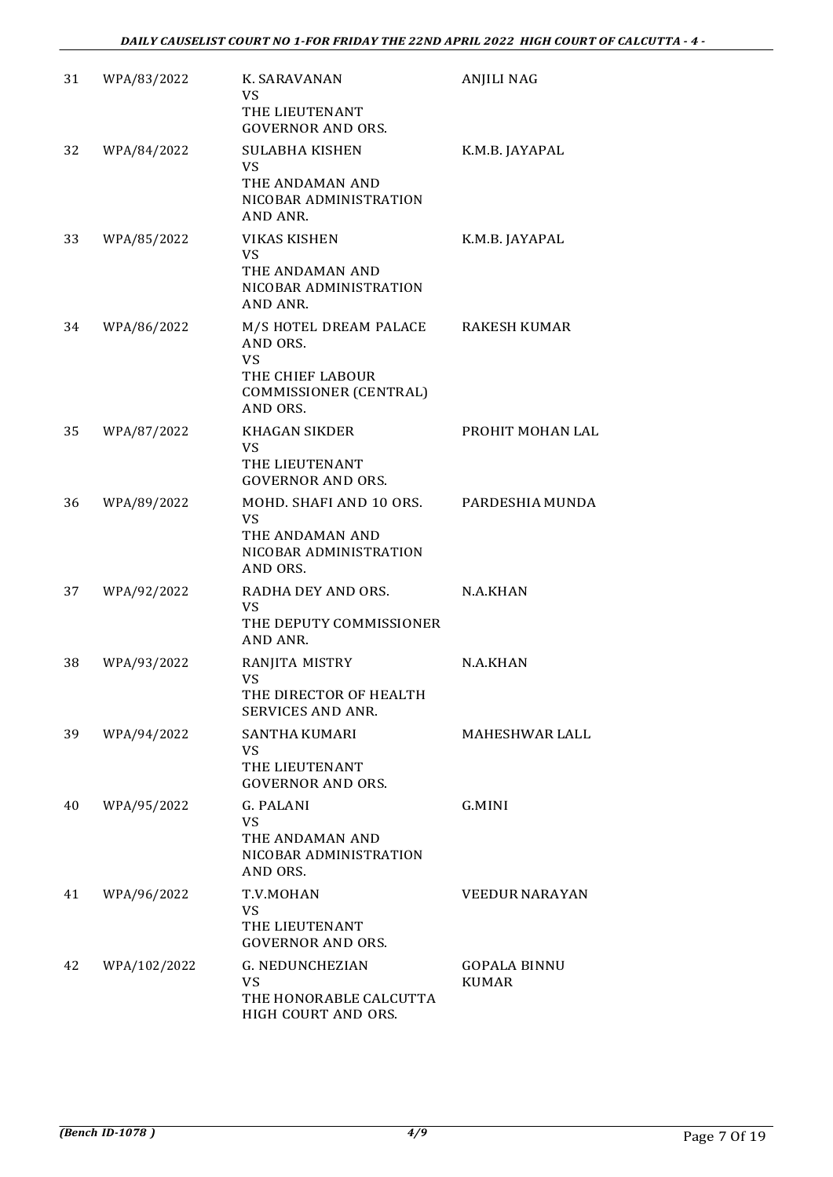| 31 | WPA/83/2022  | K. SARAVANAN<br>VS<br>THE LIEUTENANT<br><b>GOVERNOR AND ORS.</b>                                                 | ANJILI NAG                          |
|----|--------------|------------------------------------------------------------------------------------------------------------------|-------------------------------------|
| 32 | WPA/84/2022  | <b>SULABHA KISHEN</b><br><b>VS</b><br>THE ANDAMAN AND<br>NICOBAR ADMINISTRATION<br>AND ANR.                      | K.M.B. JAYAPAL                      |
| 33 | WPA/85/2022  | <b>VIKAS KISHEN</b><br>VS.<br>THE ANDAMAN AND<br>NICOBAR ADMINISTRATION<br>AND ANR.                              | K.M.B. JAYAPAL                      |
| 34 | WPA/86/2022  | M/S HOTEL DREAM PALACE<br>AND ORS.<br><b>VS</b><br>THE CHIEF LABOUR<br><b>COMMISSIONER (CENTRAL)</b><br>AND ORS. | RAKESH KUMAR                        |
| 35 | WPA/87/2022  | <b>KHAGAN SIKDER</b><br><b>VS</b><br>THE LIEUTENANT<br><b>GOVERNOR AND ORS.</b>                                  | PROHIT MOHAN LAL                    |
| 36 | WPA/89/2022  | MOHD. SHAFI AND 10 ORS.<br><b>VS</b><br>THE ANDAMAN AND<br>NICOBAR ADMINISTRATION<br>AND ORS.                    | PARDESHIA MUNDA                     |
| 37 | WPA/92/2022  | RADHA DEY AND ORS.<br>VS.<br>THE DEPUTY COMMISSIONER<br>AND ANR.                                                 | N.A.KHAN                            |
| 38 | WPA/93/2022  | RANJITA MISTRY<br>VS<br>THE DIRECTOR OF HEALTH<br><b>SERVICES AND ANR.</b>                                       | N.A.KHAN                            |
| 39 | WPA/94/2022  | <b>SANTHA KUMARI</b><br><b>VS</b><br>THE LIEUTENANT<br><b>GOVERNOR AND ORS.</b>                                  | <b>MAHESHWAR LALL</b>               |
| 40 | WPA/95/2022  | G. PALANI<br><b>VS</b><br>THE ANDAMAN AND<br>NICOBAR ADMINISTRATION<br>AND ORS.                                  | G.MINI                              |
| 41 | WPA/96/2022  | T.V.MOHAN<br><b>VS</b><br>THE LIEUTENANT<br><b>GOVERNOR AND ORS.</b>                                             | <b>VEEDUR NARAYAN</b>               |
| 42 | WPA/102/2022 | <b>G. NEDUNCHEZIAN</b><br><b>VS</b><br>THE HONORABLE CALCUTTA<br>HIGH COURT AND ORS.                             | <b>GOPALA BINNU</b><br><b>KUMAR</b> |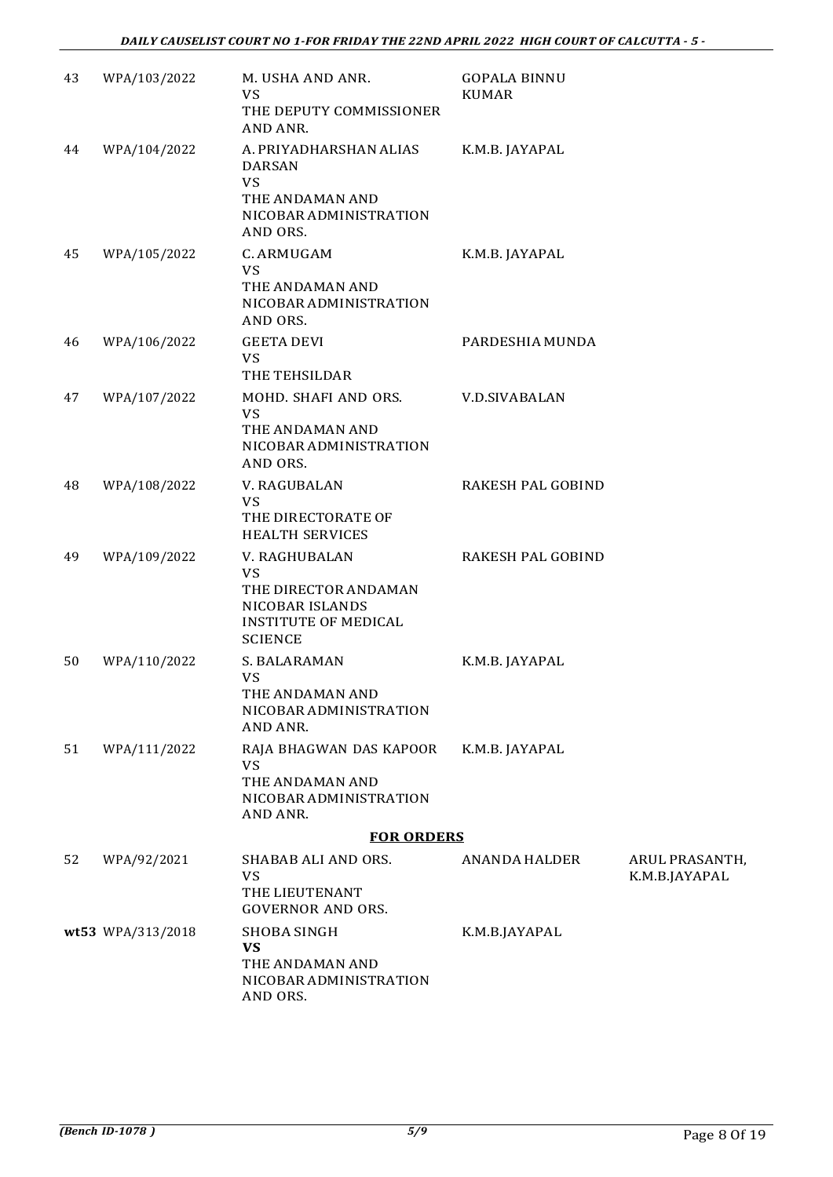| 43 | WPA/103/2022      | M. USHA AND ANR.<br>VS<br>THE DEPUTY COMMISSIONER<br>AND ANR.                                                          | <b>GOPALA BINNU</b><br><b>KUMAR</b> |                                       |
|----|-------------------|------------------------------------------------------------------------------------------------------------------------|-------------------------------------|---------------------------------------|
| 44 | WPA/104/2022      | A. PRIYADHARSHAN ALIAS<br><b>DARSAN</b><br>VS<br>THE ANDAMAN AND<br>NICOBAR ADMINISTRATION<br>AND ORS.                 | K.M.B. JAYAPAL                      |                                       |
| 45 | WPA/105/2022      | C. ARMUGAM<br><b>VS</b><br>THE ANDAMAN AND<br>NICOBAR ADMINISTRATION<br>AND ORS.                                       | K.M.B. JAYAPAL                      |                                       |
| 46 | WPA/106/2022      | <b>GEETA DEVI</b><br><b>VS</b><br>THE TEHSILDAR                                                                        | PARDESHIA MUNDA                     |                                       |
| 47 | WPA/107/2022      | MOHD. SHAFI AND ORS.<br><b>VS</b><br>THE ANDAMAN AND<br>NICOBAR ADMINISTRATION<br>AND ORS.                             | <b>V.D.SIVABALAN</b>                |                                       |
| 48 | WPA/108/2022      | V. RAGUBALAN<br>VS<br>THE DIRECTORATE OF<br><b>HEALTH SERVICES</b>                                                     | <b>RAKESH PAL GOBIND</b>            |                                       |
| 49 | WPA/109/2022      | V. RAGHUBALAN<br><b>VS</b><br>THE DIRECTOR ANDAMAN<br>NICOBAR ISLANDS<br><b>INSTITUTE OF MEDICAL</b><br><b>SCIENCE</b> | <b>RAKESH PAL GOBIND</b>            |                                       |
| 50 | WPA/110/2022      | S. BALARAMAN<br>VS<br>THE ANDAMAN AND<br>NICOBAR ADMINISTRATION<br>AND ANR.                                            | K.M.B. JAYAPAL                      |                                       |
| 51 | WPA/111/2022      | RAJA BHAGWAN DAS KAPOOR<br><b>VS</b><br>THE ANDAMAN AND<br>NICOBAR ADMINISTRATION<br>AND ANR.                          | K.M.B. JAYAPAL                      |                                       |
|    |                   | <b>FOR ORDERS</b>                                                                                                      |                                     |                                       |
| 52 | WPA/92/2021       | SHABAB ALI AND ORS.<br>VS<br>THE LIEUTENANT<br><b>GOVERNOR AND ORS.</b>                                                | <b>ANANDA HALDER</b>                | <b>ARUL PRASANTH</b><br>K.M.B.JAYAPAL |
|    | wt53 WPA/313/2018 | <b>SHOBA SINGH</b><br><b>VS</b><br>THE ANDAMAN AND<br>NICOBAR ADMINISTRATION<br>AND ORS.                               | K.M.B.JAYAPAL                       |                                       |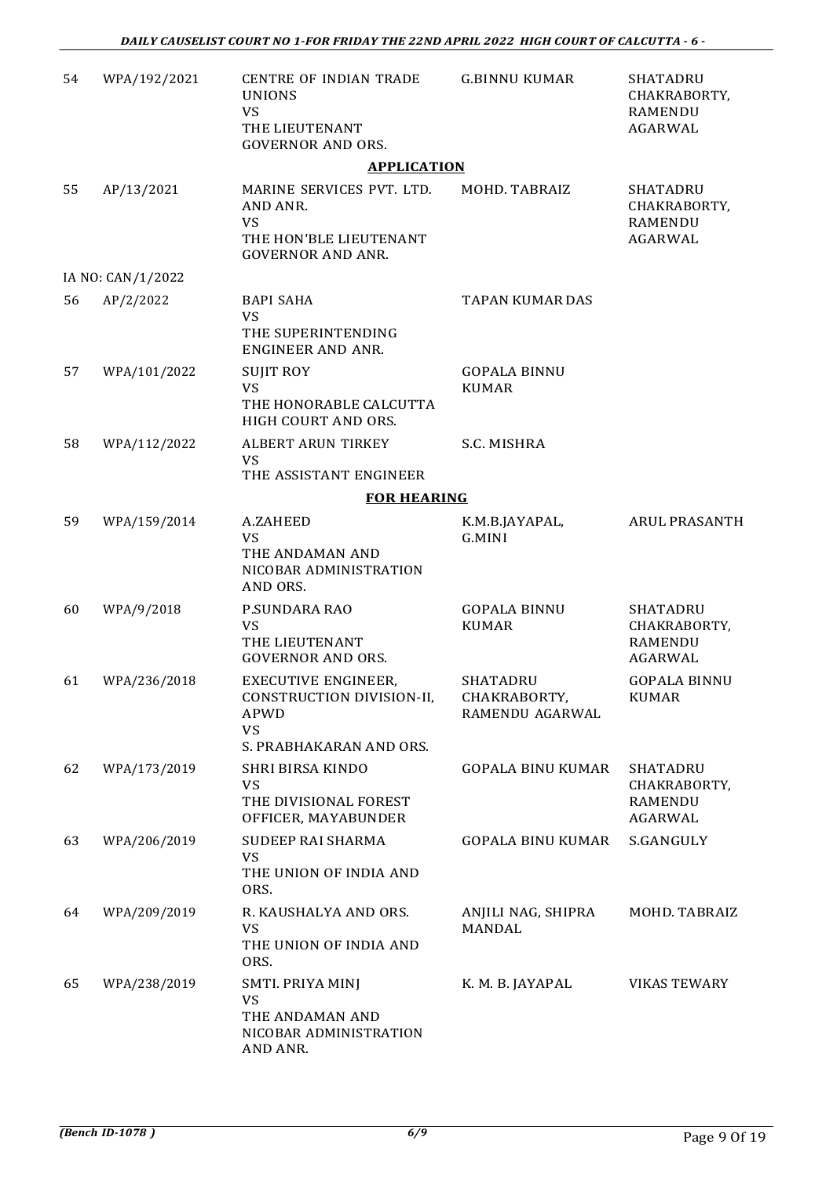| 54 | WPA/192/2021      | <b>CENTRE OF INDIAN TRADE</b><br><b>UNIONS</b><br><b>VS</b><br>THE LIEUTENANT<br><b>GOVERNOR AND ORS.</b> | <b>G.BINNU KUMAR</b>                        | SHATADRU<br>CHAKRABORTY,<br><b>RAMENDU</b><br>AGARWAL               |
|----|-------------------|-----------------------------------------------------------------------------------------------------------|---------------------------------------------|---------------------------------------------------------------------|
|    |                   | <b>APPLICATION</b>                                                                                        |                                             |                                                                     |
| 55 | AP/13/2021        | MARINE SERVICES PVT. LTD.<br>AND ANR.<br><b>VS</b><br>THE HON'BLE LIEUTENANT<br><b>GOVERNOR AND ANR.</b>  | MOHD. TABRAIZ                               | <b>SHATADRU</b><br>CHAKRABORTY,<br><b>RAMENDU</b><br><b>AGARWAL</b> |
|    | IA NO: CAN/1/2022 |                                                                                                           |                                             |                                                                     |
| 56 | AP/2/2022         | <b>BAPI SAHA</b><br><b>VS</b><br>THE SUPERINTENDING<br><b>ENGINEER AND ANR.</b>                           | <b>TAPAN KUMAR DAS</b>                      |                                                                     |
| 57 | WPA/101/2022      | <b>SUJIT ROY</b><br>VS<br>THE HONORABLE CALCUTTA<br>HIGH COURT AND ORS.                                   | <b>GOPALA BINNU</b><br><b>KUMAR</b>         |                                                                     |
| 58 | WPA/112/2022      | ALBERT ARUN TIRKEY<br><b>VS</b>                                                                           | S.C. MISHRA                                 |                                                                     |
|    |                   | THE ASSISTANT ENGINEER<br><b>FOR HEARING</b>                                                              |                                             |                                                                     |
| 59 | WPA/159/2014      | A.ZAHEED                                                                                                  | K.M.B.JAYAPAL,                              | ARUL PRASANTH                                                       |
|    |                   | <b>VS</b><br>THE ANDAMAN AND<br>NICOBAR ADMINISTRATION<br>AND ORS.                                        | G.MINI                                      |                                                                     |
| 60 | WPA/9/2018        | P.SUNDARA RAO<br><b>VS</b><br>THE LIEUTENANT<br><b>GOVERNOR AND ORS.</b>                                  | <b>GOPALA BINNU</b><br><b>KUMAR</b>         | <b>SHATADRU</b><br>CHAKRABORTY,<br><b>RAMENDU</b><br>AGARWAL        |
| 61 | WPA/236/2018      | <b>EXECUTIVE ENGINEER,</b><br>CONSTRUCTION DIVISION-II,<br>APWD<br>VS                                     | SHATADRU<br>CHAKRABORTY,<br>RAMENDU AGARWAL | <b>GOPALA BINNU</b><br><b>KUMAR</b>                                 |
|    |                   | S. PRABHAKARAN AND ORS.                                                                                   |                                             |                                                                     |
| 62 | WPA/173/2019      | <b>SHRI BIRSA KINDO</b><br><b>VS</b><br>THE DIVISIONAL FOREST<br>OFFICER, MAYABUNDER                      | <b>GOPALA BINU KUMAR</b>                    | <b>SHATADRU</b><br>CHAKRABORTY,<br><b>RAMENDU</b><br>AGARWAL        |
| 63 | WPA/206/2019      | SUDEEP RAI SHARMA<br>VS<br>THE UNION OF INDIA AND<br>ORS.                                                 | <b>GOPALA BINU KUMAR</b>                    | S.GANGULY                                                           |
| 64 | WPA/209/2019      | R. KAUSHALYA AND ORS.<br>VS<br>THE UNION OF INDIA AND<br>ORS.                                             | ANJILI NAG, SHIPRA<br>MANDAL                | MOHD. TABRAIZ                                                       |
| 65 | WPA/238/2019      | SMTI. PRIYA MINJ<br>VS<br>THE ANDAMAN AND<br>NICOBAR ADMINISTRATION<br>AND ANR.                           | K. M. B. JAYAPAL                            | <b>VIKAS TEWARY</b>                                                 |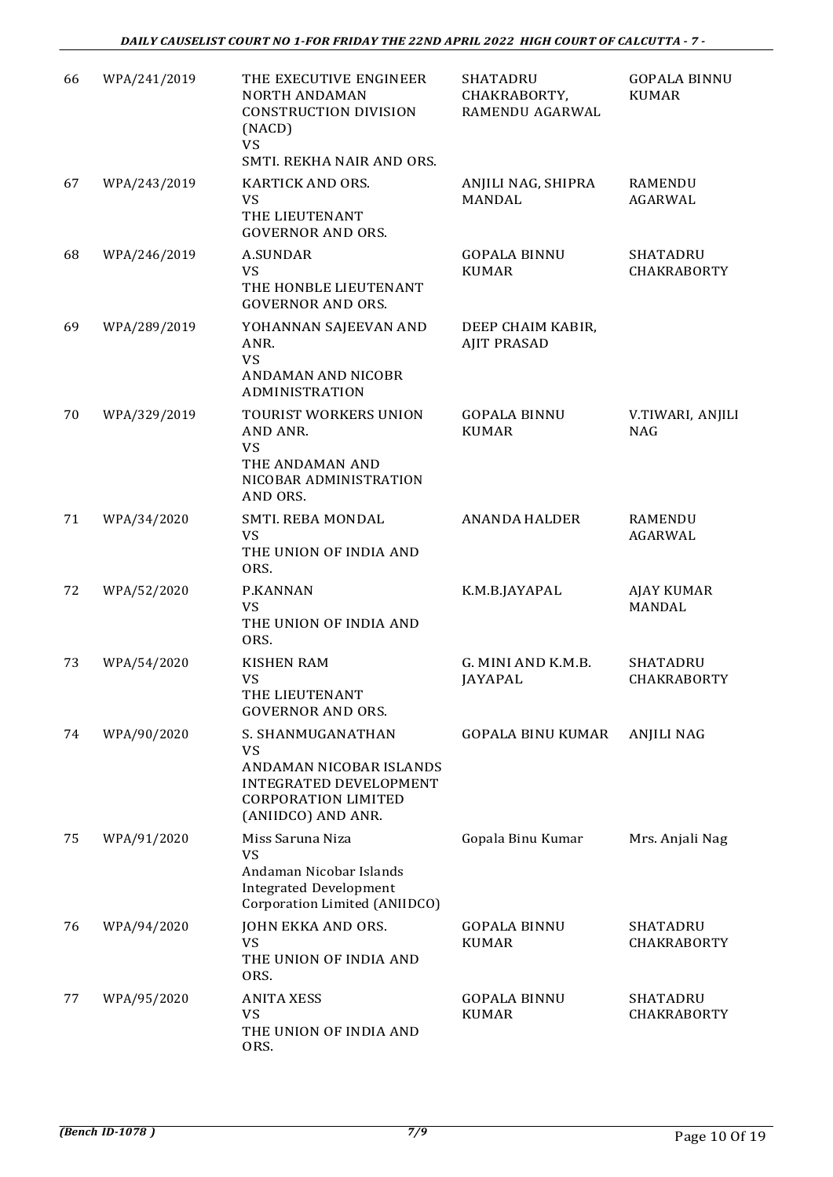| 66 | WPA/241/2019 | THE EXECUTIVE ENGINEER<br><b>NORTH ANDAMAN</b><br><b>CONSTRUCTION DIVISION</b><br>(NACD)<br><b>VS</b><br>SMTI. REKHA NAIR AND ORS.      | SHATADRU<br>CHAKRABORTY,<br>RAMENDU AGARWAL | <b>GOPALA BINNU</b><br><b>KUMAR</b>   |
|----|--------------|-----------------------------------------------------------------------------------------------------------------------------------------|---------------------------------------------|---------------------------------------|
| 67 | WPA/243/2019 | KARTICK AND ORS.<br>VS<br>THE LIEUTENANT<br><b>GOVERNOR AND ORS.</b>                                                                    | ANJILI NAG, SHIPRA<br><b>MANDAL</b>         | RAMENDU<br>AGARWAL                    |
| 68 | WPA/246/2019 | <b>A.SUNDAR</b><br><b>VS</b><br>THE HONBLE LIEUTENANT<br><b>GOVERNOR AND ORS.</b>                                                       | <b>GOPALA BINNU</b><br><b>KUMAR</b>         | <b>SHATADRU</b><br><b>CHAKRABORTY</b> |
| 69 | WPA/289/2019 | YOHANNAN SAJEEVAN AND<br>ANR.<br><b>VS</b><br>ANDAMAN AND NICOBR<br><b>ADMINISTRATION</b>                                               | DEEP CHAIM KABIR,<br><b>AJIT PRASAD</b>     |                                       |
| 70 | WPA/329/2019 | TOURIST WORKERS UNION<br>AND ANR.<br><b>VS</b><br>THE ANDAMAN AND<br>NICOBAR ADMINISTRATION<br>AND ORS.                                 | <b>GOPALA BINNU</b><br><b>KUMAR</b>         | V.TIWARI, ANJILI<br><b>NAG</b>        |
| 71 | WPA/34/2020  | SMTI. REBA MONDAL<br>VS<br>THE UNION OF INDIA AND<br>ORS.                                                                               | <b>ANANDA HALDER</b>                        | RAMENDU<br>AGARWAL                    |
| 72 | WPA/52/2020  | P.KANNAN<br><b>VS</b><br>THE UNION OF INDIA AND<br>ORS.                                                                                 | K.M.B.JAYAPAL                               | AJAY KUMAR<br>MANDAL                  |
| 73 | WPA/54/2020  | <b>KISHEN RAM</b><br>VS<br>THE LIEUTENANT<br><b>GOVERNOR AND ORS.</b>                                                                   | G. MINI AND K.M.B.<br><b>JAYAPAL</b>        | SHATADRU<br><b>CHAKRABORTY</b>        |
| 74 | WPA/90/2020  | S. SHANMUGANATHAN<br><b>VS</b><br>ANDAMAN NICOBAR ISLANDS<br>INTEGRATED DEVELOPMENT<br><b>CORPORATION LIMITED</b><br>(ANIIDCO) AND ANR. | <b>GOPALA BINU KUMAR</b>                    | <b>ANJILI NAG</b>                     |
| 75 | WPA/91/2020  | Miss Saruna Niza<br>VS<br>Andaman Nicobar Islands<br><b>Integrated Development</b><br>Corporation Limited (ANIIDCO)                     | Gopala Binu Kumar                           | Mrs. Anjali Nag                       |
| 76 | WPA/94/2020  | JOHN EKKA AND ORS.<br><b>VS</b><br>THE UNION OF INDIA AND<br>ORS.                                                                       | <b>GOPALA BINNU</b><br><b>KUMAR</b>         | SHATADRU<br><b>CHAKRABORTY</b>        |
| 77 | WPA/95/2020  | <b>ANITA XESS</b><br>VS<br>THE UNION OF INDIA AND<br>ORS.                                                                               | <b>GOPALA BINNU</b><br><b>KUMAR</b>         | SHATADRU<br><b>CHAKRABORTY</b>        |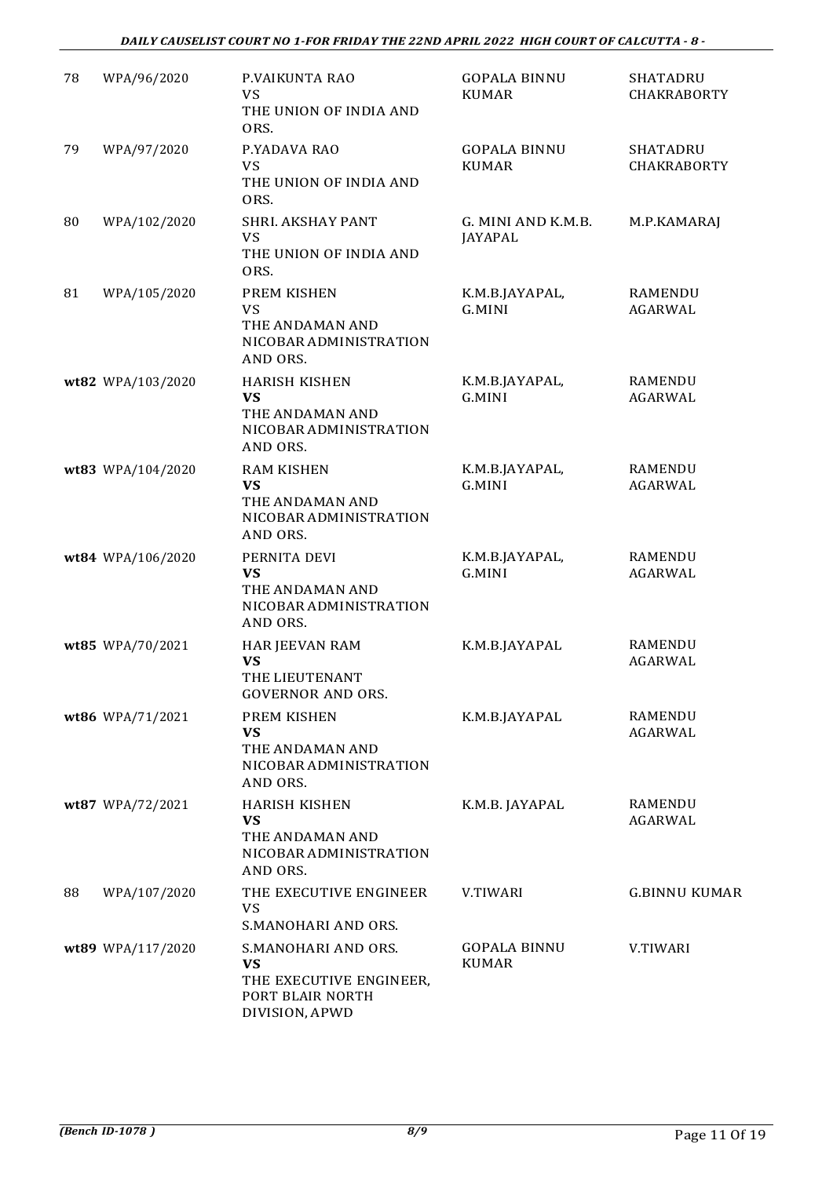#### *DAILY CAUSELIST COURT NO 1-FOR FRIDAY THE 22ND APRIL 2022 HIGH COURT OF CALCUTTA - 8 -*

| 78 | WPA/96/2020       | P.VAIKUNTA RAO<br><b>VS</b><br>THE UNION OF INDIA AND<br>ORS.                                     | <b>GOPALA BINNU</b><br><b>KUMAR</b>  | SHATADRU<br><b>CHAKRABORTY</b>        |
|----|-------------------|---------------------------------------------------------------------------------------------------|--------------------------------------|---------------------------------------|
| 79 | WPA/97/2020       | P.YADAVA RAO<br><b>VS</b><br>THE UNION OF INDIA AND<br>ORS.                                       | <b>GOPALA BINNU</b><br><b>KUMAR</b>  | <b>SHATADRU</b><br><b>CHAKRABORTY</b> |
| 80 | WPA/102/2020      | SHRI. AKSHAY PANT<br><b>VS</b><br>THE UNION OF INDIA AND<br>ORS.                                  | G. MINI AND K.M.B.<br><b>JAYAPAL</b> | M.P.KAMARAJ                           |
| 81 | WPA/105/2020      | PREM KISHEN<br><b>VS</b><br>THE ANDAMAN AND<br>NICOBAR ADMINISTRATION<br>AND ORS.                 | K.M.B.JAYAPAL,<br>G.MINI             | RAMENDU<br>AGARWAL                    |
|    | wt82 WPA/103/2020 | <b>HARISH KISHEN</b><br><b>VS</b><br>THE ANDAMAN AND<br>NICOBAR ADMINISTRATION<br>AND ORS.        | K.M.B.JAYAPAL,<br>G.MINI             | RAMENDU<br>AGARWAL                    |
|    | wt83 WPA/104/2020 | <b>RAM KISHEN</b><br><b>VS</b><br>THE ANDAMAN AND<br>NICOBAR ADMINISTRATION<br>AND ORS.           | K.M.B.JAYAPAL,<br>G.MINI             | RAMENDU<br>AGARWAL                    |
|    | wt84 WPA/106/2020 | PERNITA DEVI<br><b>VS</b><br>THE ANDAMAN AND<br>NICOBAR ADMINISTRATION<br>AND ORS.                | K.M.B.JAYAPAL,<br>G.MINI             | RAMENDU<br>AGARWAL                    |
|    | wt85 WPA/70/2021  | HAR JEEVAN RAM<br><b>VS</b><br>THE LIEUTENANT<br><b>GOVERNOR AND ORS.</b>                         | K.M.B.JAYAPAL                        | RAMENDU<br>AGARWAL                    |
|    | wt86 WPA/71/2021  | PREM KISHEN<br><b>VS</b><br>THE ANDAMAN AND<br>NICOBAR ADMINISTRATION<br>AND ORS.                 | K.M.B.JAYAPAL                        | RAMENDU<br>AGARWAL                    |
|    | wt87 WPA/72/2021  | <b>HARISH KISHEN</b><br><b>VS</b><br>THE ANDAMAN AND<br>NICOBAR ADMINISTRATION<br>AND ORS.        | K.M.B. JAYAPAL                       | RAMENDU<br>AGARWAL                    |
| 88 | WPA/107/2020      | THE EXECUTIVE ENGINEER<br><b>VS</b><br>S.MANOHARI AND ORS.                                        | <b>V.TIWARI</b>                      | <b>G.BINNU KUMAR</b>                  |
|    | wt89 WPA/117/2020 | S.MANOHARI AND ORS.<br><b>VS</b><br>THE EXECUTIVE ENGINEER,<br>PORT BLAIR NORTH<br>DIVISION, APWD | <b>GOPALA BINNU</b><br><b>KUMAR</b>  | V.TIWARI                              |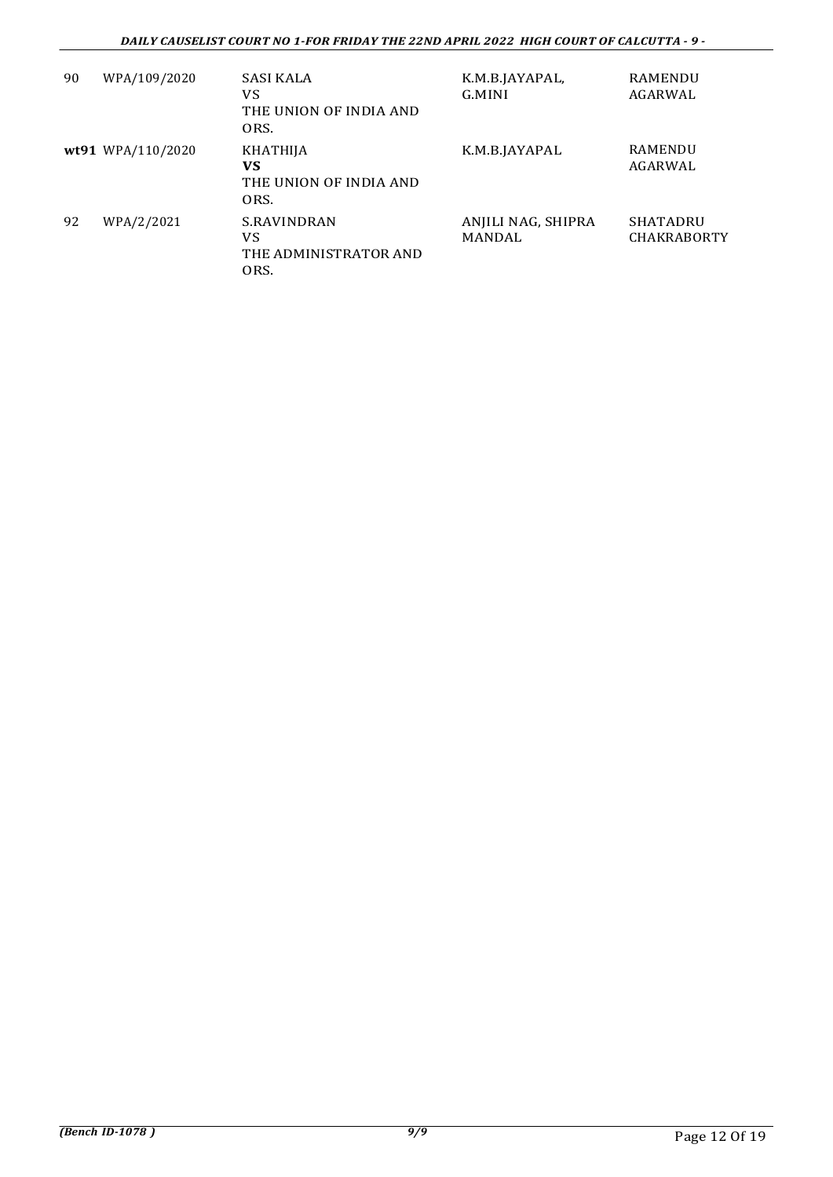| 90 | WPA/109/2020      | <b>SASI KALA</b><br>VS<br>THE UNION OF INDIA AND<br>ORS. | K.M.B.JAYAPAL,<br>G.MINI     | RAMENDU<br>AGARWAL                    |
|----|-------------------|----------------------------------------------------------|------------------------------|---------------------------------------|
|    | wt91 WPA/110/2020 | KHATHIJA<br>VS<br>THE UNION OF INDIA AND<br>ORS.         | K.M.B.JAYAPAL                | <b>RAMENDU</b><br>AGARWAL             |
| 92 | WPA/2/2021        | S.RAVINDRAN<br>VS<br>THE ADMINISTRATOR AND<br>ORS.       | ANJILI NAG, SHIPRA<br>MANDAL | <b>SHATADRU</b><br><b>CHAKRABORTY</b> |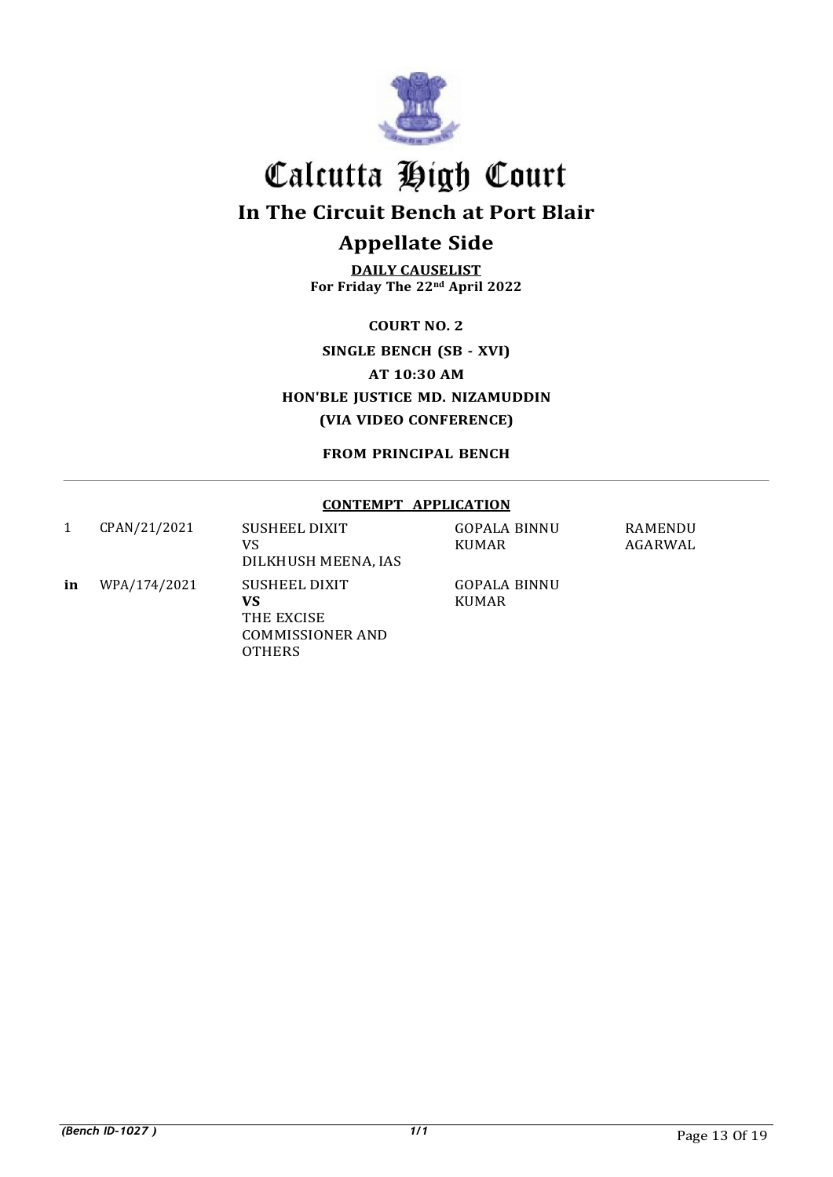

In The Circuit Bench at Port Blair

## Appellate Side

DAILY CAUSELIST For Friday The 22nd April 2022

COURT NO. 2

SINGLE BENCH (SB - XVI) AT 10:30 AM HON'BLE JUSTICE MD. NIZAMUDDIN (VIA VIDEO CONFERENCE)

FROM PRINCIPAL BENCH

### CONTEMPT APPLICATION

|    | CPAN/21/2021 | <b>SUSHEEL DIXIT</b><br>VS.<br>DILKHUSH MEENA, IAS                            | <b>GOPALA BINNU</b><br><b>KUMAR</b> | <b>RAMENDU</b><br>AGARWAL |
|----|--------------|-------------------------------------------------------------------------------|-------------------------------------|---------------------------|
| in | WPA/174/2021 | SUSHEEL DIXIT<br>VS<br>THE EXCISE<br><b>COMMISSIONER AND</b><br><b>OTHERS</b> | <b>GOPALA BINNU</b><br><b>KUMAR</b> |                           |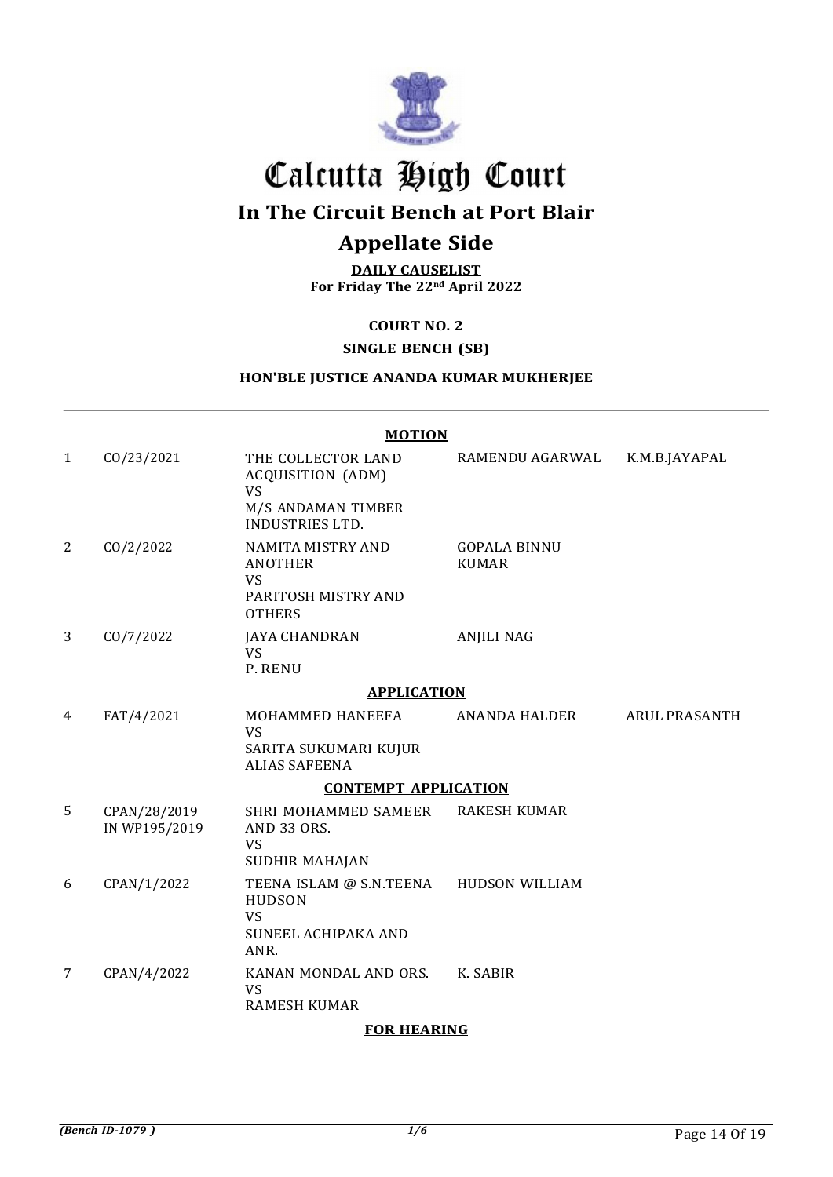

In The Circuit Bench at Port Blair

## Appellate Side

DAILY CAUSELIST For Friday The 22nd April 2022

COURT NO. 2

## SINGLE BENCH (SB)

## HON'BLE JUSTICE ANANDA KUMAR MUKHERJEE

 $\frac{1}{2}$ 

|                |                               | <b>MOTION</b>                                                                                        |                                     |                      |
|----------------|-------------------------------|------------------------------------------------------------------------------------------------------|-------------------------------------|----------------------|
| $\mathbf{1}$   | CO/23/2021                    | THE COLLECTOR LAND<br>ACQUISITION (ADM)<br><b>VS</b><br>M/S ANDAMAN TIMBER<br><b>INDUSTRIES LTD.</b> | RAMENDU AGARWAL                     | K.M.B.JAYAPAL        |
| $\overline{c}$ | CO/2/2022                     | NAMITA MISTRY AND<br><b>ANOTHER</b><br><b>VS</b><br>PARITOSH MISTRY AND<br><b>OTHERS</b>             | <b>GOPALA BINNU</b><br><b>KUMAR</b> |                      |
| 3              | CO/7/2022                     | <b>JAYA CHANDRAN</b><br><b>VS</b><br>P. RENU                                                         | <b>ANJILI NAG</b>                   |                      |
|                |                               | <b>APPLICATION</b>                                                                                   |                                     |                      |
| 4              | FAT/4/2021                    | MOHAMMED HANEEFA<br><b>VS</b><br>SARITA SUKUMARI KUJUR<br><b>ALIAS SAFEENA</b>                       | ANANDA HALDER                       | <b>ARUL PRASANTH</b> |
|                |                               | <b>CONTEMPT APPLICATION</b>                                                                          |                                     |                      |
| 5              | CPAN/28/2019<br>IN WP195/2019 | SHRI MOHAMMED SAMEER<br>AND 33 ORS.<br><b>VS</b><br><b>SUDHIR MAHAJAN</b>                            | <b>RAKESH KUMAR</b>                 |                      |
| 6              | CPAN/1/2022                   | TEENA ISLAM @ S.N.TEENA<br><b>HUDSON</b><br>VS<br>SUNEEL ACHIPAKA AND<br>ANR.                        | <b>HUDSON WILLIAM</b>               |                      |
| 7              | CPAN/4/2022                   | KANAN MONDAL AND ORS.<br><b>VS</b><br><b>RAMESH KUMAR</b>                                            | K. SABIR                            |                      |

#### FOR HEARING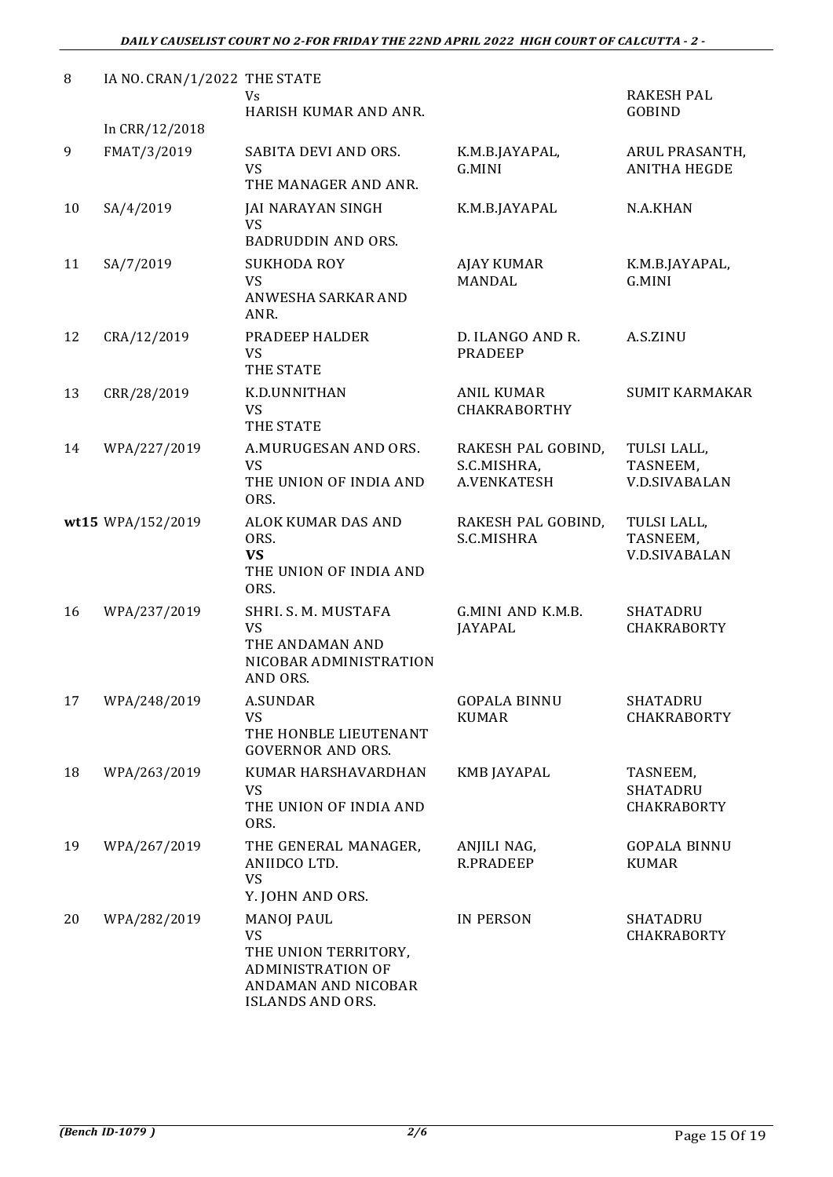| 8  | IA NO. CRAN/1/2022 THE STATE | Vs                                                                                                                                   |                                                  | <b>RAKESH PAL</b>                               |
|----|------------------------------|--------------------------------------------------------------------------------------------------------------------------------------|--------------------------------------------------|-------------------------------------------------|
|    | In CRR/12/2018               | HARISH KUMAR AND ANR.                                                                                                                |                                                  | <b>GOBIND</b>                                   |
| 9  | FMAT/3/2019                  | SABITA DEVI AND ORS.<br><b>VS</b><br>THE MANAGER AND ANR.                                                                            | K.M.B.JAYAPAL,<br>G.MINI                         | ARUL PRASANTH,<br><b>ANITHA HEGDE</b>           |
| 10 | SA/4/2019                    | <b>JAI NARAYAN SINGH</b><br><b>VS</b><br><b>BADRUDDIN AND ORS.</b>                                                                   | K.M.B.JAYAPAL                                    | N.A.KHAN                                        |
| 11 | SA/7/2019                    | <b>SUKHODA ROY</b><br><b>VS</b><br>ANWESHA SARKAR AND<br>ANR.                                                                        | <b>AJAY KUMAR</b><br><b>MANDAL</b>               | K.M.B.JAYAPAL,<br>G.MINI                        |
| 12 | CRA/12/2019                  | PRADEEP HALDER<br><b>VS</b><br>THE STATE                                                                                             | D. ILANGO AND R.<br><b>PRADEEP</b>               | A.S.ZINU                                        |
| 13 | CRR/28/2019                  | K.D.UNNITHAN<br><b>VS</b><br>THE STATE                                                                                               | <b>ANIL KUMAR</b><br><b>CHAKRABORTHY</b>         | <b>SUMIT KARMAKAR</b>                           |
| 14 | WPA/227/2019                 | A.MURUGESAN AND ORS.<br><b>VS</b><br>THE UNION OF INDIA AND<br>ORS.                                                                  | RAKESH PAL GOBIND,<br>S.C.MISHRA,<br>A.VENKATESH | TULSI LALL,<br>TASNEEM,<br><b>V.D.SIVABALAN</b> |
|    | wt15 WPA/152/2019            | ALOK KUMAR DAS AND<br>ORS.<br><b>VS</b><br>THE UNION OF INDIA AND<br>ORS.                                                            | RAKESH PAL GOBIND,<br>S.C.MISHRA                 | TULSI LALL,<br>TASNEEM,<br><b>V.D.SIVABALAN</b> |
| 16 | WPA/237/2019                 | SHRI. S. M. MUSTAFA<br><b>VS</b><br>THE ANDAMAN AND<br>NICOBAR ADMINISTRATION<br>AND ORS.                                            | G.MINI AND K.M.B.<br>JAYAPAL                     | <b>SHATADRU</b><br><b>CHAKRABORTY</b>           |
| 17 | WPA/248/2019                 | <b>A.SUNDAR</b><br>VS<br>THE HONBLE LIEUTENANT<br><b>GOVERNOR AND ORS.</b>                                                           | <b>GOPALA BINNU</b><br><b>KUMAR</b>              | <b>SHATADRU</b><br><b>CHAKRABORTY</b>           |
| 18 | WPA/263/2019                 | KUMAR HARSHAVARDHAN<br><b>VS</b><br>THE UNION OF INDIA AND<br>ORS.                                                                   | <b>KMB JAYAPAL</b>                               | TASNEEM,<br>SHATADRU<br>CHAKRABORTY             |
| 19 | WPA/267/2019                 | THE GENERAL MANAGER,<br>ANIIDCO LTD.<br><b>VS</b><br>Y. JOHN AND ORS.                                                                | ANJILI NAG,<br><b>R.PRADEEP</b>                  | <b>GOPALA BINNU</b><br><b>KUMAR</b>             |
| 20 | WPA/282/2019                 | <b>MANOJ PAUL</b><br><b>VS</b><br>THE UNION TERRITORY,<br><b>ADMINISTRATION OF</b><br>ANDAMAN AND NICOBAR<br><b>ISLANDS AND ORS.</b> | <b>IN PERSON</b>                                 | SHATADRU<br><b>CHAKRABORTY</b>                  |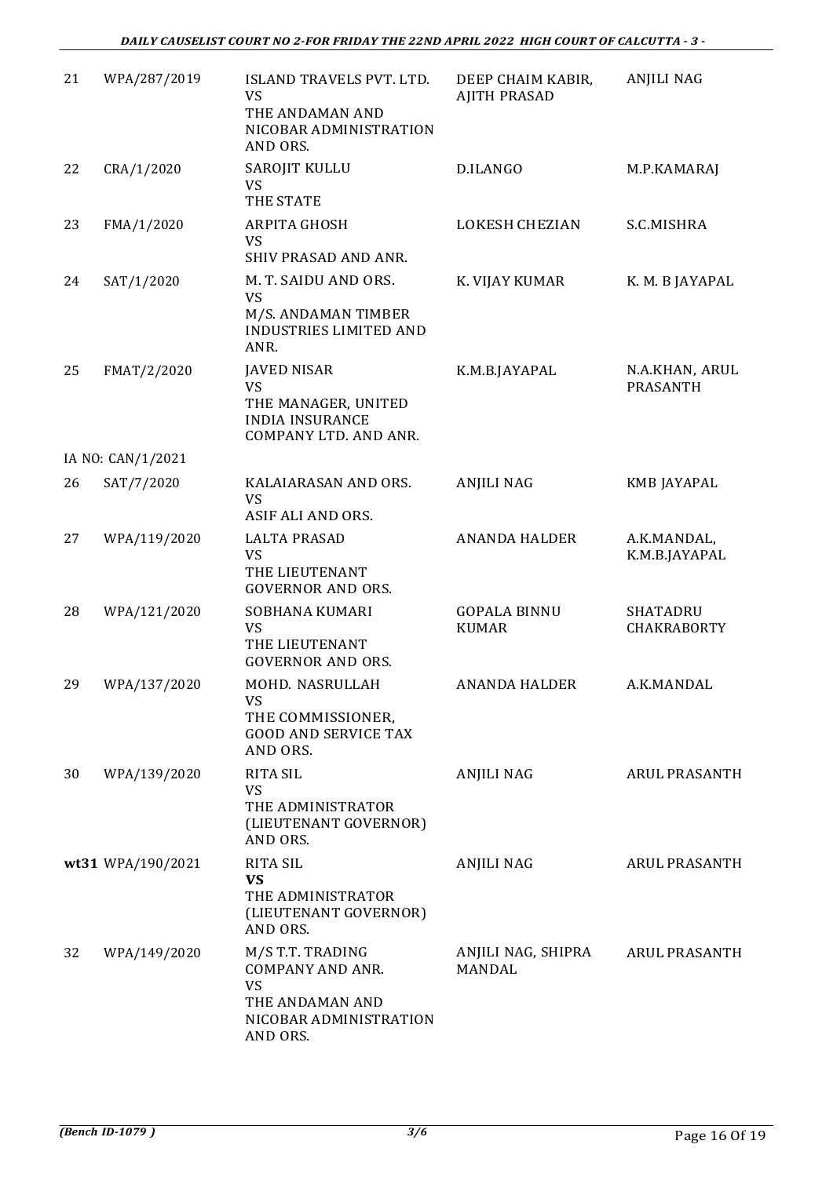| 21 | WPA/287/2019      | ISLAND TRAVELS PVT. LTD.<br><b>VS</b><br>THE ANDAMAN AND<br>NICOBAR ADMINISTRATION<br>AND ORS.                    | DEEP CHAIM KABIR,<br><b>AJITH PRASAD</b> | <b>ANJILI NAG</b>                     |
|----|-------------------|-------------------------------------------------------------------------------------------------------------------|------------------------------------------|---------------------------------------|
| 22 | CRA/1/2020        | SAROJIT KULLU<br><b>VS</b><br>THE STATE                                                                           | D.ILANGO                                 | M.P.KAMARAJ                           |
| 23 | FMA/1/2020        | <b>ARPITA GHOSH</b><br><b>VS</b><br>SHIV PRASAD AND ANR.                                                          | <b>LOKESH CHEZIAN</b>                    | S.C.MISHRA                            |
| 24 | SAT/1/2020        | M. T. SAIDU AND ORS.<br><b>VS</b><br>M/S. ANDAMAN TIMBER<br><b>INDUSTRIES LIMITED AND</b><br>ANR.                 | K. VIJAY KUMAR                           | K. M. B JAYAPAL                       |
| 25 | FMAT/2/2020       | <b>JAVED NISAR</b><br><b>VS</b><br>THE MANAGER, UNITED<br><b>INDIA INSURANCE</b><br>COMPANY LTD. AND ANR.         | K.M.B.JAYAPAL                            | N.A.KHAN, ARUL<br><b>PRASANTH</b>     |
|    | IA NO: CAN/1/2021 |                                                                                                                   |                                          |                                       |
| 26 | SAT/7/2020        | KALAIARASAN AND ORS.<br><b>VS</b><br>ASIF ALI AND ORS.                                                            | <b>ANJILI NAG</b>                        | KMB JAYAPAL                           |
| 27 | WPA/119/2020      | <b>LALTA PRASAD</b><br><b>VS</b><br>THE LIEUTENANT<br><b>GOVERNOR AND ORS.</b>                                    | <b>ANANDA HALDER</b>                     | A.K.MANDAL,<br>K.M.B.JAYAPAL          |
| 28 | WPA/121/2020      | SOBHANA KUMARI<br><b>VS</b><br>THE LIEUTENANT<br><b>GOVERNOR AND ORS.</b>                                         | <b>GOPALA BINNU</b><br><b>KUMAR</b>      | <b>SHATADRU</b><br><b>CHAKRABORTY</b> |
| 29 | WPA/137/2020      | MOHD. NASRULLAH<br><b>VS</b><br>THE COMMISSIONER,<br><b>GOOD AND SERVICE TAX</b><br>AND ORS.                      | <b>ANANDA HALDER</b>                     | A.K.MANDAL                            |
| 30 | WPA/139/2020      | <b>RITA SIL</b><br><b>VS</b><br>THE ADMINISTRATOR<br>(LIEUTENANT GOVERNOR)<br>AND ORS.                            | ANJILI NAG                               | ARUL PRASANTH                         |
|    | wt31 WPA/190/2021 | <b>RITA SIL</b><br><b>VS</b><br>THE ADMINISTRATOR<br>(LIEUTENANT GOVERNOR)<br>AND ORS.                            | ANJILI NAG                               | <b>ARUL PRASANTH</b>                  |
| 32 | WPA/149/2020      | M/S T.T. TRADING<br><b>COMPANY AND ANR.</b><br><b>VS</b><br>THE ANDAMAN AND<br>NICOBAR ADMINISTRATION<br>AND ORS. | ANJILI NAG, SHIPRA<br><b>MANDAL</b>      | <b>ARUL PRASANTH</b>                  |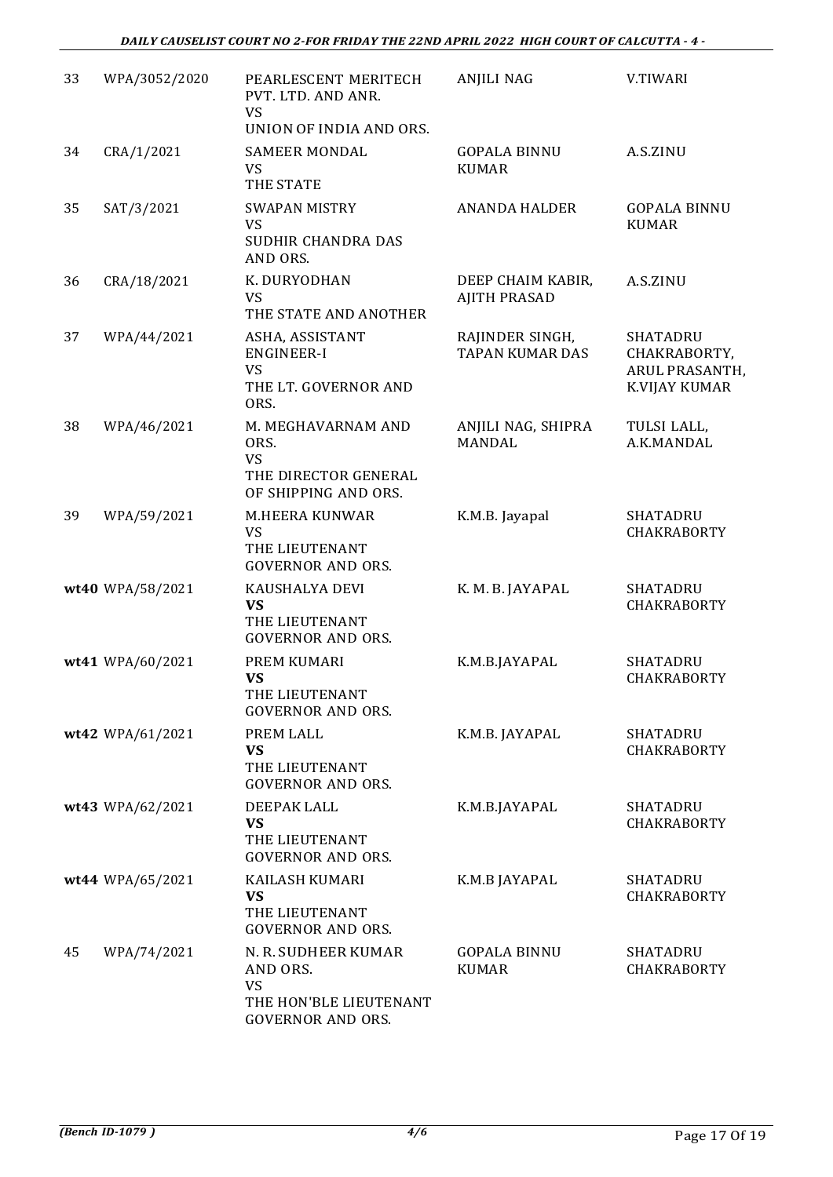| 33 | WPA/3052/2020    | PEARLESCENT MERITECH<br>PVT. LTD. AND ANR.<br><b>VS</b><br>UNION OF INDIA AND ORS.                 | <b>ANJILI NAG</b>                         | V.TIWARI                                                                 |
|----|------------------|----------------------------------------------------------------------------------------------------|-------------------------------------------|--------------------------------------------------------------------------|
| 34 | CRA/1/2021       | SAMEER MONDAL<br><b>VS</b><br>THE STATE                                                            | <b>GOPALA BINNU</b><br><b>KUMAR</b>       | A.S.ZINU                                                                 |
| 35 | SAT/3/2021       | <b>SWAPAN MISTRY</b><br><b>VS</b><br>SUDHIR CHANDRA DAS<br>AND ORS.                                | <b>ANANDA HALDER</b>                      | <b>GOPALA BINNU</b><br><b>KUMAR</b>                                      |
| 36 | CRA/18/2021      | K. DURYODHAN<br>VS<br>THE STATE AND ANOTHER                                                        | DEEP CHAIM KABIR,<br><b>AJITH PRASAD</b>  | A.S.ZINU                                                                 |
| 37 | WPA/44/2021      | ASHA, ASSISTANT<br><b>ENGINEER-I</b><br><b>VS</b><br>THE LT. GOVERNOR AND<br>ORS.                  | RAJINDER SINGH,<br><b>TAPAN KUMAR DAS</b> | <b>SHATADRU</b><br>CHAKRABORTY,<br><b>ARUL PRASANTH</b><br>K.VIJAY KUMAR |
| 38 | WPA/46/2021      | M. MEGHAVARNAM AND<br>ORS.<br><b>VS</b><br>THE DIRECTOR GENERAL<br>OF SHIPPING AND ORS.            | ANJILI NAG, SHIPRA<br><b>MANDAL</b>       | TULSI LALL,<br>A.K.MANDAL                                                |
| 39 | WPA/59/2021      | M.HEERA KUNWAR<br>VS<br>THE LIEUTENANT<br><b>GOVERNOR AND ORS.</b>                                 | K.M.B. Jayapal                            | <b>SHATADRU</b><br><b>CHAKRABORTY</b>                                    |
|    | wt40 WPA/58/2021 | KAUSHALYA DEVI<br><b>VS</b><br>THE LIEUTENANT<br><b>GOVERNOR AND ORS.</b>                          | K. M. B. JAYAPAL                          | <b>SHATADRU</b><br><b>CHAKRABORTY</b>                                    |
|    | wt41 WPA/60/2021 | PREM KUMARI<br><b>VS</b><br>THE LIEUTENANT<br><b>GOVERNOR AND ORS.</b>                             | K.M.B.JAYAPAL                             | <b>SHATADRU</b><br><b>CHAKRABORTY</b>                                    |
|    | wt42 WPA/61/2021 | PREM LALL<br><b>VS</b><br>THE LIEUTENANT<br><b>GOVERNOR AND ORS.</b>                               | K.M.B. JAYAPAL                            | <b>SHATADRU</b><br>CHAKRABORTY                                           |
|    | wt43 WPA/62/2021 | DEEPAK LALL<br><b>VS</b><br>THE LIEUTENANT<br><b>GOVERNOR AND ORS.</b>                             | K.M.B.JAYAPAL                             | <b>SHATADRU</b><br><b>CHAKRABORTY</b>                                    |
|    | wt44 WPA/65/2021 | KAILASH KUMARI<br><b>VS</b><br>THE LIEUTENANT<br><b>GOVERNOR AND ORS.</b>                          | K.M.B JAYAPAL                             | <b>SHATADRU</b><br><b>CHAKRABORTY</b>                                    |
| 45 | WPA/74/2021      | N. R. SUDHEER KUMAR<br>AND ORS.<br><b>VS</b><br>THE HON'BLE LIEUTENANT<br><b>GOVERNOR AND ORS.</b> | <b>GOPALA BINNU</b><br><b>KUMAR</b>       | SHATADRU<br><b>CHAKRABORTY</b>                                           |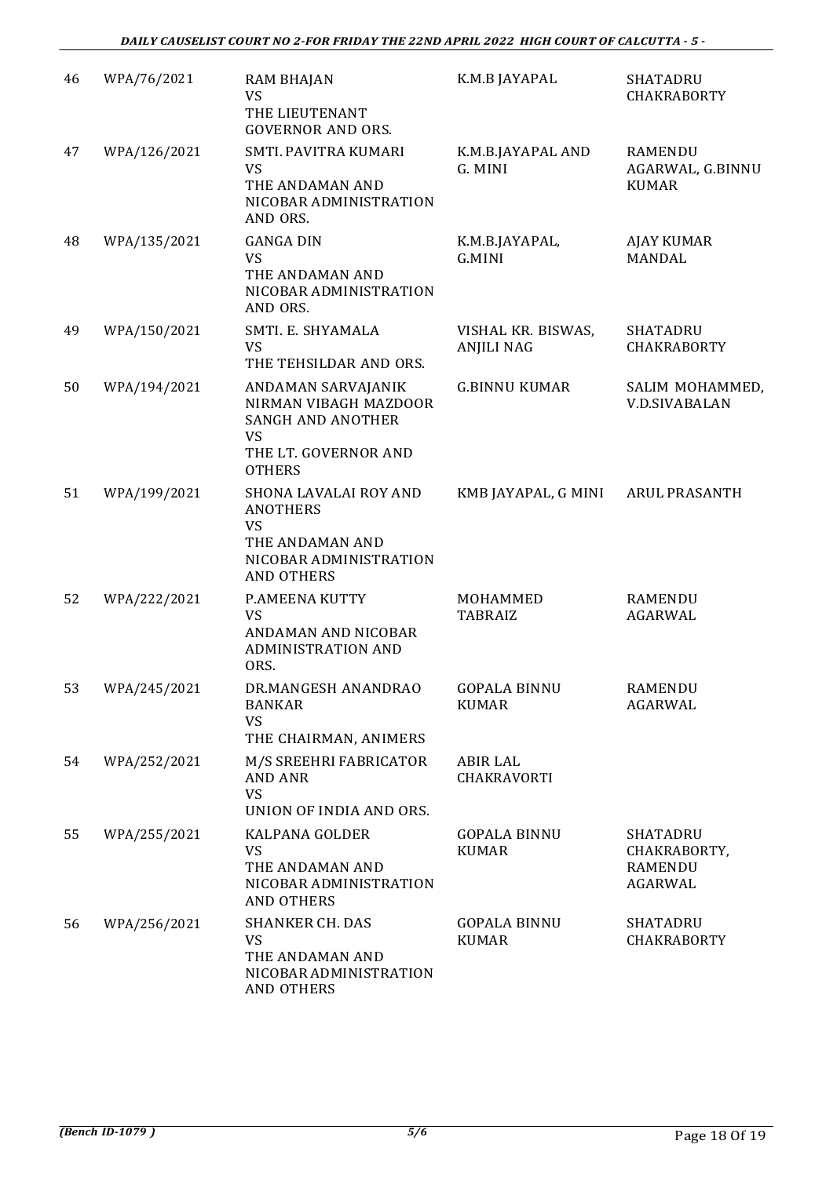| 46 | WPA/76/2021  | <b>RAM BHAJAN</b><br><b>VS</b><br>THE LIEUTENANT                                                                              | K.M.B JAYAPAL                           | SHATADRU<br><b>CHAKRABORTY</b>                               |
|----|--------------|-------------------------------------------------------------------------------------------------------------------------------|-----------------------------------------|--------------------------------------------------------------|
| 47 | WPA/126/2021 | <b>GOVERNOR AND ORS.</b><br>SMTI. PAVITRA KUMARI<br><b>VS</b><br>THE ANDAMAN AND<br>NICOBAR ADMINISTRATION<br>AND ORS.        | K.M.B.JAYAPAL AND<br>G. MINI            | <b>RAMENDU</b><br>AGARWAL, G.BINNU<br><b>KUMAR</b>           |
| 48 | WPA/135/2021 | <b>GANGA DIN</b><br><b>VS</b><br>THE ANDAMAN AND<br>NICOBAR ADMINISTRATION<br>AND ORS.                                        | K.M.B.JAYAPAL,<br>G.MINI                | <b>AJAY KUMAR</b><br><b>MANDAL</b>                           |
| 49 | WPA/150/2021 | SMTI. E. SHYAMALA<br><b>VS</b><br>THE TEHSILDAR AND ORS.                                                                      | VISHAL KR. BISWAS,<br><b>ANJILI NAG</b> | <b>SHATADRU</b><br><b>CHAKRABORTY</b>                        |
| 50 | WPA/194/2021 | ANDAMAN SARVAJANIK<br>NIRMAN VIBAGH MAZDOOR<br><b>SANGH AND ANOTHER</b><br><b>VS</b><br>THE LT. GOVERNOR AND<br><b>OTHERS</b> | <b>G.BINNU KUMAR</b>                    | SALIM MOHAMMED<br><b>V.D.SIVABALAN</b>                       |
| 51 | WPA/199/2021 | SHONA LAVALAI ROY AND<br><b>ANOTHERS</b><br><b>VS</b><br>THE ANDAMAN AND<br>NICOBAR ADMINISTRATION<br><b>AND OTHERS</b>       | KMB JAYAPAL, G MINI                     | <b>ARUL PRASANTH</b>                                         |
| 52 | WPA/222/2021 | P.AMEENA KUTTY<br><b>VS</b><br>ANDAMAN AND NICOBAR<br><b>ADMINISTRATION AND</b><br>ORS.                                       | MOHAMMED<br><b>TABRAIZ</b>              | <b>RAMENDU</b><br><b>AGARWAL</b>                             |
| 53 | WPA/245/2021 | DR.MANGESH ANANDRAO<br><b>BANKAR</b><br>VS<br>THE CHAIRMAN, ANIMERS                                                           | <b>GOPALA BINNU</b><br><b>KUMAR</b>     | <b>RAMENDU</b><br><b>AGARWAL</b>                             |
| 54 | WPA/252/2021 | M/S SREEHRI FABRICATOR<br><b>AND ANR</b><br><b>VS</b><br>UNION OF INDIA AND ORS.                                              | <b>ABIR LAL</b><br>CHAKRAVORTI          |                                                              |
| 55 | WPA/255/2021 | <b>KALPANA GOLDER</b><br><b>VS</b><br>THE ANDAMAN AND<br>NICOBAR ADMINISTRATION<br><b>AND OTHERS</b>                          | <b>GOPALA BINNU</b><br><b>KUMAR</b>     | <b>SHATADRU</b><br>CHAKRABORTY,<br><b>RAMENDU</b><br>AGARWAL |
| 56 | WPA/256/2021 | <b>SHANKER CH. DAS</b><br>VS<br>THE ANDAMAN AND<br>NICOBAR ADMINISTRATION<br><b>AND OTHERS</b>                                | <b>GOPALA BINNU</b><br><b>KUMAR</b>     | <b>SHATADRU</b><br><b>CHAKRABORTY</b>                        |